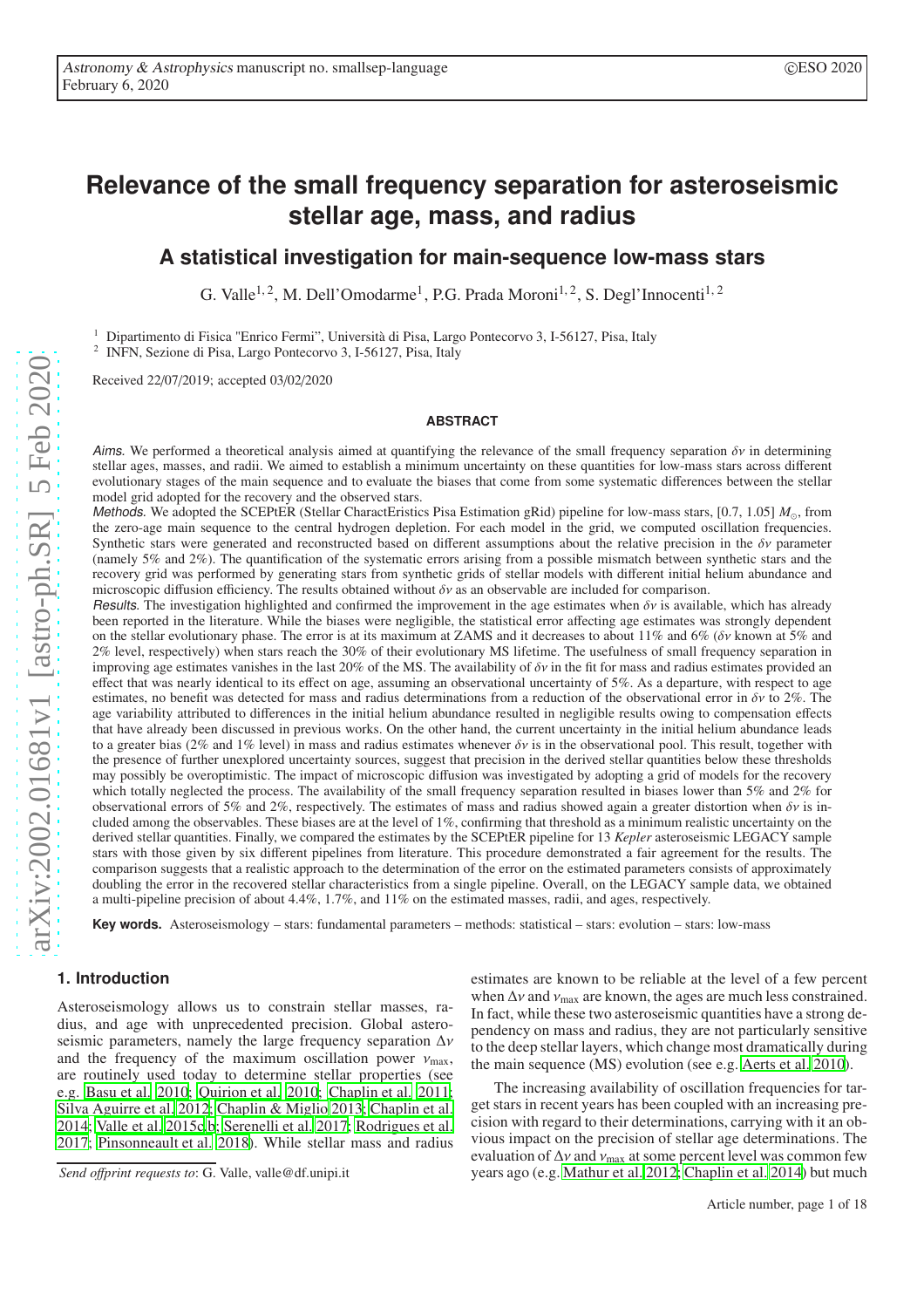# **Relevance of the small frequency separation for asteroseismic stellar age, mass, and radius**

# **A statistical investigation for main-sequence low-mass stars**

G. Valle<sup>1, 2</sup>, M. Dell'Omodarme<sup>1</sup>, P.G. Prada Moroni<sup>1, 2</sup>, S. Degl'Innocenti<sup>1, 2</sup>

<sup>1</sup> Dipartimento di Fisica "Enrico Fermi", Università di Pisa, Largo Pontecorvo 3, I-56127, Pisa, Italy

2 INFN, Sezione di Pisa, Largo Pontecorvo 3, I-56127, Pisa, Italy

Received 22/07/2019; accepted 03/02/2020

#### **ABSTRACT**

Aims. We performed a theoretical analysis aimed at quantifying the relevance of the small frequency separation  $\delta v$  in determining stellar ages, masses, and radii. We aimed to establish a minimum uncertainty on these quantities for low-mass stars across different evolutionary stages of the main sequence and to evaluate the biases that come from some systematic differences between the stellar model grid adopted for the recovery and the observed stars.

Methods. We adopted the SCEPtER (Stellar CharactEristics Pisa Estimation gRid) pipeline for low-mass stars, [0.7, 1.05] *M*⊙, from the zero-age main sequence to the central hydrogen depletion. For each model in the grid, we computed oscillation frequencies. Synthetic stars were generated and reconstructed based on different assumptions about the relative precision in the  $\delta v$  parameter (namely 5% and 2%). The quantification of the systematic errors arising from a possible mismatch between synthetic stars and the recovery grid was performed by generating stars from synthetic grids of stellar models with different initial helium abundance and microscopic diffusion efficiency. The results obtained without  $\delta y$  as an observable are included for comparison.

Results. The investigation highlighted and confirmed the improvement in the age estimates when  $\delta y$  is available, which has already been reported in the literature. While the biases were negligible, the statistical error affecting age estimates was strongly dependent on the stellar evolutionary phase. The error is at its maximum at ZAMS and it decreases to about 11% and 6% ( $\delta v$  known at 5% and 2% level, respectively) when stars reach the 30% of their evolutionary MS lifetime. The usefulness of small frequency separation in improving age estimates vanishes in the last 20% of the MS. The availability of  $\delta v$  in the fit for mass and radius estimates provided an effect that was nearly identical to its effect on age, assuming an observational uncertainty of 5%. As a departure, with respect to age estimates, no benefit was detected for mass and radius determinations from a reduction of the observational error in  $\delta v$  to 2%. The age variability attributed to differences in the initial helium abundance resulted in negligible results owing to compensation effects that have already been discussed in previous works. On the other hand, the current uncertainty in the initial helium abundance leads to a greater bias (2% and 1% level) in mass and radius estimates whenever  $\delta v$  is in the observational pool. This result, together with the presence of further unexplored uncertainty sources, suggest that precision in the derived stellar quantities below these thresholds may possibly be overoptimistic. The impact of microscopic diffusion was investigated by adopting a grid of models for the recovery which totally neglected the process. The availability of the small frequency separation resulted in biases lower than 5% and 2% for observational errors of 5% and 2%, respectively. The estimates of mass and radius showed again a greater distortion when  $\delta v$  is included among the observables. These biases are at the level of 1%, confirming that threshold as a minimum realistic uncertainty on the derived stellar quantities. Finally, we compared the estimates by the SCEPtER pipeline for 13 *Kepler* asteroseismic LEGACY sample stars with those given by six different pipelines from literature. This procedure demonstrated a fair agreement for the results. The comparison suggests that a realistic approach to the determination of the error on the estimated parameters consists of approximately doubling the error in the recovered stellar characteristics from a single pipeline. Overall, on the LEGACY sample data, we obtained a multi-pipeline precision of about 4.4%, 1.7%, and 11% on the estimated masses, radii, and ages, respectively.

**Key words.** Asteroseismology – stars: fundamental parameters – methods: statistical – stars: evolution – stars: low-mass

## **1. Introduction**

Asteroseismology allows us to constrain stellar masses, radius, and age with unprecedented precision. Global asteroseismic parameters, namely the large frequency separation  $\Delta v$ and the frequency of the maximum oscillation power  $v_{\text{max}}$ , are routinely used today to determine stellar properties (see e.g. [Basu et al. 2010](#page-11-0); [Quirion et al. 2010;](#page-12-0) [Chaplin et al. 2011](#page-11-1); [Silva Aguirre et al. 2012;](#page-12-1) [Chaplin & Miglio 2013;](#page-11-2) [Chaplin et al.](#page-11-3) [2014;](#page-11-3) [Valle et al. 2015c](#page-12-2)[,b;](#page-12-3) [Serenelli et al. 2017;](#page-12-4) [Rodrigues](#page-12-5) et al. [2017;](#page-12-5) [Pinsonneault et al. 2018](#page-12-6)). While stellar mass and radius

estimates are known to be reliable at the level of a few percent when  $\Delta v$  and  $v_{\text{max}}$  are known, the ages are much less constrained. In fact, while these two asteroseismic quantities have a strong dependency on mass and radius, they are not particularly sensitive to the deep stellar layers, which change most dramatically during the main sequence (MS) evolution (see e.g. [Aerts et al. 2010\)](#page-11-4).

The increasing availability of oscillation frequencies for target stars in recent years has been coupled with an increasing precision with regard to their determinations, carrying with it an obvious impact on the precision of stellar age determinations. The evaluation of  $\Delta v$  and  $v_{\text{max}}$  at some percent level was common few years ago (e.g. [Mathur et al. 2012;](#page-11-5) [Chaplin et al. 2014](#page-11-3)) but much

*Send o*ff*print requests to*: G. Valle, valle@df.unipi.it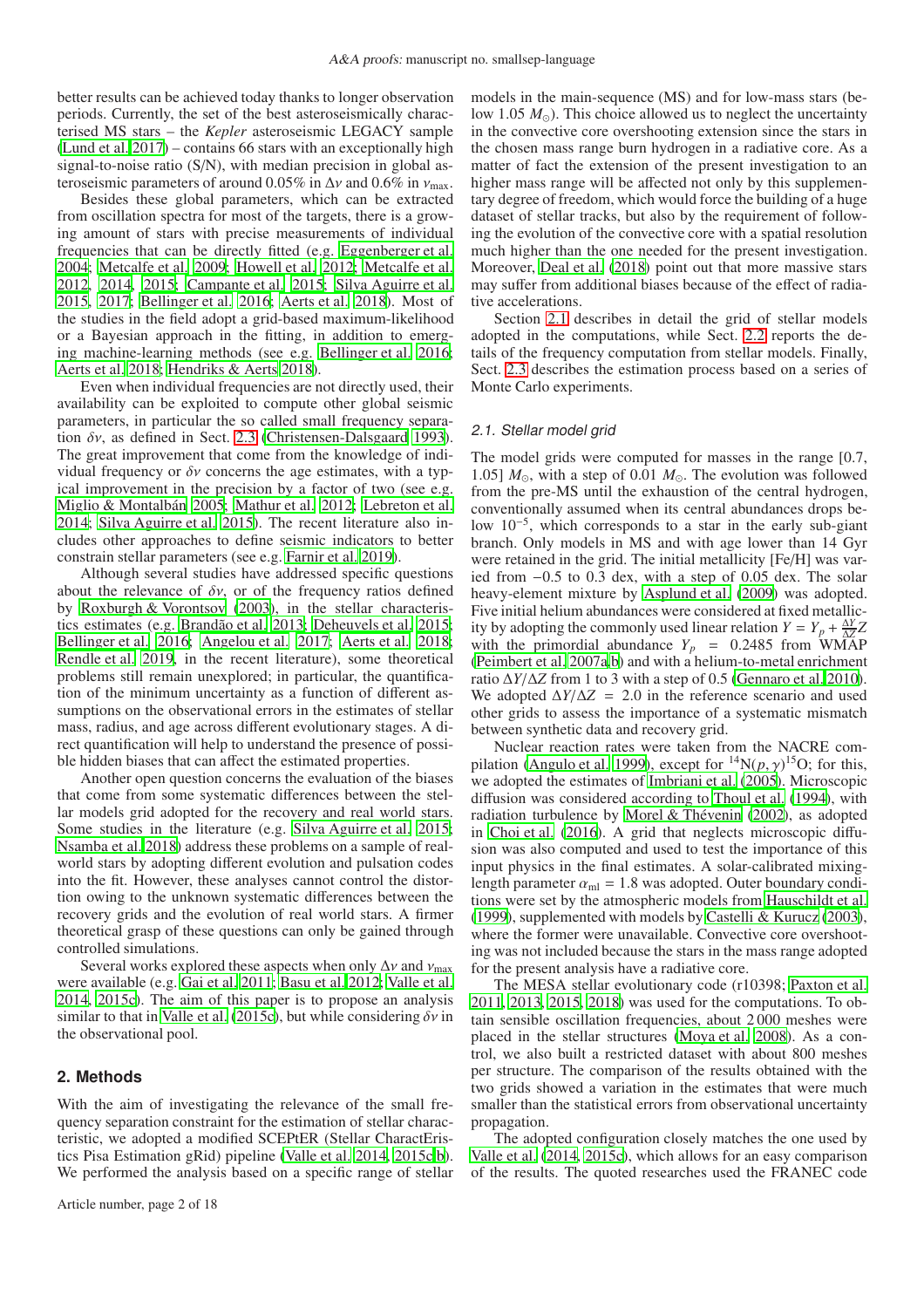better results can be achieved today thanks to longer observation periods. Currently, the set of the best asteroseismically characterised MS stars – the *Kepler* asteroseismic LEGACY sample [\(Lund et al. 2017](#page-11-6)) – contains 66 stars with an exceptionally high signal-to-noise ratio (S/N), with median precision in global asteroseismic parameters of around 0.05% in  $\Delta v$  and 0.6% in  $v_{\text{max}}$ .

Besides these global parameters, which can be extracted from oscillation spectra for most of the targets, there is a growing amount of stars with precise measurements of individual frequencies that can be directly fitted (e.g. [Eggenberger et](#page-11-7) al. [2004;](#page-11-7) [Metcalfe et al. 2009;](#page-11-8) [Howell et al. 2012;](#page-11-9) [Metcalfe et al.](#page-11-10) [2012,](#page-11-10) [2014,](#page-11-11) [2015;](#page-11-12) [Campante et al. 2015](#page-11-13); [Silva Aguirre et al.](#page-12-7) [2015,](#page-12-7) [2017;](#page-12-8) [Bellinger et al. 2016;](#page-11-14) [Aerts et al. 2018\)](#page-11-15). Most of the studies in the field adopt a grid-based maximum-likelihood or a Bayesian approach in the fitting, in addition to emerging machine-learning methods (see e.g. [Bellinger et al. 2016](#page-11-14); [Aerts et al. 2018;](#page-11-15) [Hendriks & Aerts 2018](#page-11-16)).

Even when individual frequencies are not directly used, their availability can be exploited to compute other global seismic parameters, in particular the so called small frequency separation  $\delta v$ , as defined in Sect. [2.3](#page-2-0) [\(Christensen-Dalsgaard 1993](#page-11-17)). The great improvement that come from the knowledge of individual frequency or  $\delta v$  concerns the age estimates, with a typical improvement in the precision by a factor of two (see e.g. [Miglio & Montalbán 2005](#page-11-18); [Mathur et al. 2012;](#page-11-5) [Lebreton et al.](#page-11-19) [2014;](#page-11-19) [Silva Aguirre et al. 2015](#page-12-7)). The recent literature also includes other approaches to define seismic indicators to better constrain stellar parameters (see e.g. [Farnir et al. 2019\)](#page-11-20).

Although several studies have addressed specific questions about the relevance of  $\delta v$ , or of the frequency ratios defined by [Roxburgh & Vorontsov](#page-12-9) [\(2003\)](#page-12-9), in the stellar characteristics estimates (e.g. [Brandão et al. 2013;](#page-11-21) [Deheuvels et al. 2015](#page-11-22); [Bellinger et al. 2016;](#page-11-14) [Angelou et al. 2017;](#page-11-23) [Aerts et al. 2018](#page-11-15); [Rendle et al. 2019,](#page-12-10) in the recent literature), some theoretical problems still remain unexplored; in particular, the quantification of the minimum uncertainty as a function of different assumptions on the observational errors in the estimates of stellar mass, radius, and age across different evolutionary stages. A direct quantification will help to understand the presence of possible hidden biases that can affect the estimated properties.

Another open question concerns the evaluation of the biases that come from some systematic differences between the stellar models grid adopted for the recovery and real world stars. Some studies in the literature (e.g. [Silva Aguirre et al. 2015](#page-12-7); [Nsamba et al. 2018\)](#page-11-24) address these problems on a sample of realworld stars by adopting different evolution and pulsation codes into the fit. However, these analyses cannot control the distortion owing to the unknown systematic differences between the recovery grids and the evolution of real world stars. A firmer theoretical grasp of these questions can only be gained through controlled simulations.

Several works explored these aspects when only  $\Delta v$  and  $v_{\text{max}}$ were available (e.g. [Gai et al. 2011](#page-11-25); [Basu et al. 2012;](#page-11-26) [Valle et al.](#page-12-11) [2014,](#page-12-11) [2015c](#page-12-2)). The aim of this paper is to propose an analysis similar to that in [Valle et al. \(2015c\)](#page-12-2), but while considering  $\delta v$  in the observational pool.

## **2. Methods**

With the aim of investigating the relevance of the small frequency separation constraint for the estimation of stellar characteristic, we adopted a modified SCEPtER (Stellar CharactEristics Pisa Estimation gRid) pipeline [\(Valle et al. 2014,](#page-12-11) [2015c](#page-12-2)[,b](#page-12-3)). We performed the analysis based on a specific range of stellar models in the main-sequence (MS) and for low-mass stars (below 1.05  $M_{\odot}$ ). This choice allowed us to neglect the uncertainty in the convective core overshooting extension since the stars in the chosen mass range burn hydrogen in a radiative core. As a matter of fact the extension of the present investigation to an higher mass range will be affected not only by this supplementary degree of freedom, which would force the building of a huge dataset of stellar tracks, but also by the requirement of following the evolution of the convective core with a spatial resolution much higher than the one needed for the present investigation. Moreover, [Deal et al.](#page-11-27) [\(2018\)](#page-11-27) point out that more massive stars may suffer from additional biases because of the effect of radiative accelerations.

Section [2.1](#page-1-0) describes in detail the grid of stellar models adopted in the computations, while Sect. [2.2](#page-2-1) reports the details of the frequency computation from stellar models. Finally, Sect. [2.3](#page-2-0) describes the estimation process based on a series of Monte Carlo experiments.

#### <span id="page-1-0"></span>2.1. Stellar model grid

The model grids were computed for masses in the range [0.7, 1.05]  $M_{\odot}$ , with a step of 0.01  $M_{\odot}$ . The evolution was followed from the pre-MS until the exhaustion of the central hydrogen, conventionally assumed when its central abundances drops below 10−<sup>5</sup> , which corresponds to a star in the early sub-giant branch. Only models in MS and with age lower than 14 Gyr were retained in the grid. The initial metallicity [Fe/H] was varied from −0.5 to 0.3 dex, with a step of 0.05 dex. The solar heavy-element mixture by [Asplund et al.](#page-11-28) [\(2009\)](#page-11-28) was adopted. Five initial helium abundances were considered at fixed metallicity by adopting the commonly used linear relation  $Y = Y_p + \frac{\Delta Y}{\Delta Z}Z$ with the primordial abundance  $Y_p = 0.2485$  from WMAP [\(Peimbert et al. 2007a](#page-12-12)[,b\)](#page-12-13) and with a helium-to-metal enrichment ratio ∆*Y*/∆*Z* from 1 to 3 with a step of 0.5 [\(Gennaro et al. 2010\)](#page-11-29). We adopted  $\Delta Y/\Delta Z = 2.0$  in the reference scenario and used other grids to assess the importance of a systematic mismatch between synthetic data and recovery grid.

Nuclear reaction rates were taken from the NACRE com-pilation [\(Angulo et al. 1999\)](#page-11-30), except for  ${}^{14}N(p,\gamma){}^{15}O$ ; for this, we adopted the estimates of [Imbriani et al. \(2005](#page-11-31)). Microscopic diffusion was considered according to [Thoul et al. \(1994\)](#page-12-14), with radiation turbulence by [Morel & Thévenin](#page-11-32) [\(2002\)](#page-11-32), as adopted in [Choi et al.](#page-11-33) [\(2016\)](#page-11-33). A grid that neglects microscopic diffusion was also computed and used to test the importance of this input physics in the final estimates. A solar-calibrated mixinglength parameter  $\alpha_{ml} = 1.8$  was adopted. Outer boundary conditions were set by the atmospheric models from [Hauschildt et al.](#page-11-34) [\(1999\)](#page-11-34), supplemented with models by [Castelli & Kurucz](#page-11-35) [\(2003\)](#page-11-35), where the former were unavailable. Convective core overshooting was not included because the stars in the mass range adopted for the present analysis have a radiative core.

The MESA stellar evolutionary code (r10398; [Paxton et al.](#page-12-15) [2011,](#page-12-15) [2013,](#page-12-16) [2015,](#page-12-17) [2018\)](#page-12-18) was used for the computations. To obtain sensible oscillation frequencies, about 2 000 meshes were placed in the stellar structures [\(Moya et al. 2008\)](#page-11-36). As a control, we also built a restricted dataset with about 800 meshes per structure. The comparison of the results obtained with the two grids showed a variation in the estimates that were much smaller than the statistical errors from observational uncertainty propagation.

The adopted configuration closely matches the one used by [Valle et al.](#page-12-11) [\(2014,](#page-12-11) [2015c](#page-12-2)), which allows for an easy comparison of the results. The quoted researches used the FRANEC code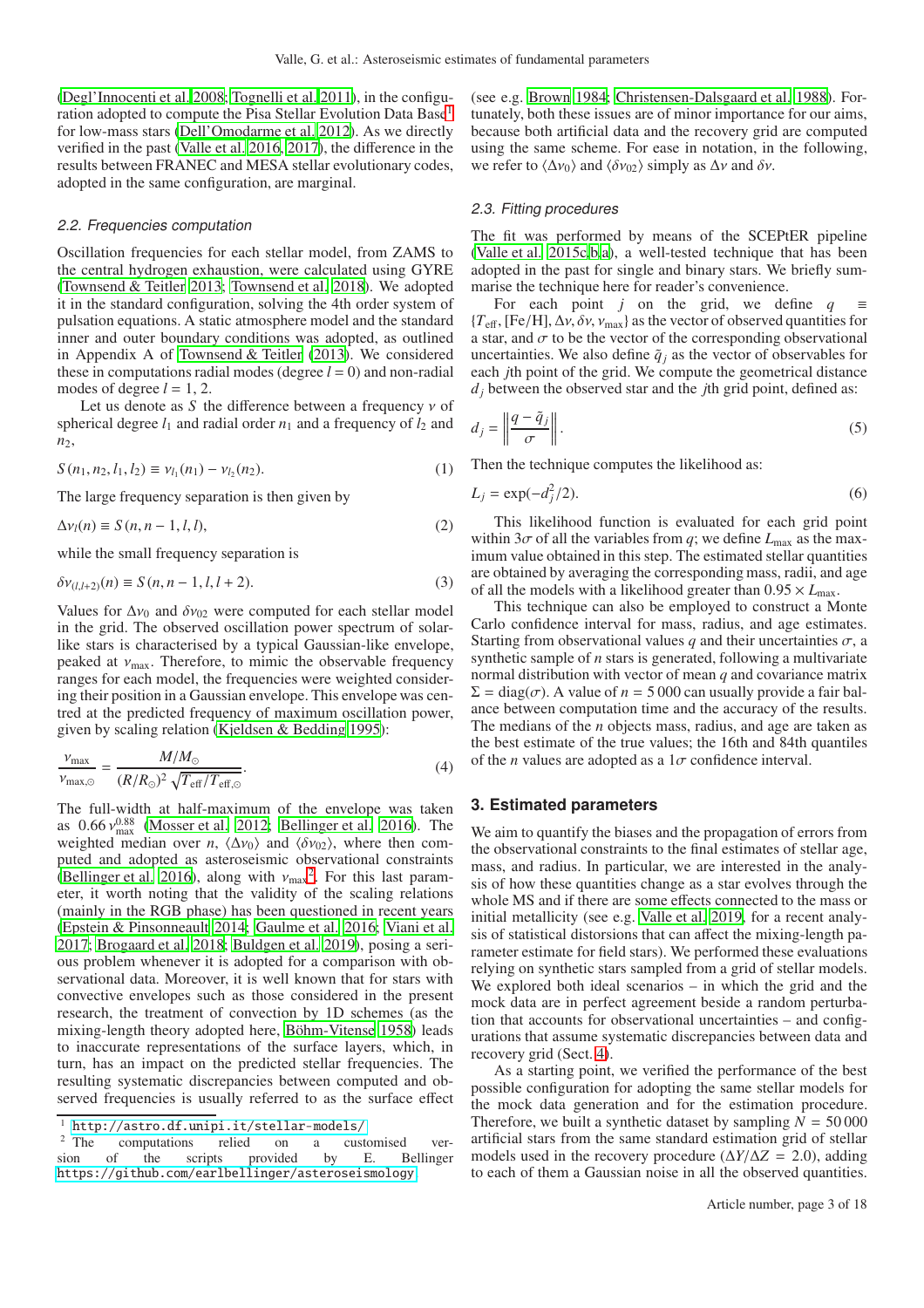[\(Degl'Innocenti et al. 2008;](#page-11-37) [Tognelli et al. 2011\)](#page-12-19), in the configu-ration adopted to compute the Pisa Stellar Evolution Data Base<sup>[1](#page-2-2)</sup> for low-mass stars [\(Dell'Omodarme et al. 2012\)](#page-11-38). As we directly verified in the past [\(Valle et al. 2016](#page-12-20), [2017](#page-12-21)), the difference in the results between FRANEC and MESA stellar evolutionary codes, adopted in the same configuration, are marginal.

#### <span id="page-2-1"></span>2.2. Frequencies computation

Oscillation frequencies for each stellar model, from ZAMS to the central hydrogen exhaustion, were calculated using GYRE [\(Townsend & Teitler 2013;](#page-12-22) [Townsend et al. 2018\)](#page-12-23). We adopted it in the standard configuration, solving the 4th order system of pulsation equations. A static atmosphere model and the standard inner and outer boundary conditions was adopted, as outlined in Appendix A of [Townsend & Teitler \(2013\)](#page-12-22). We considered these in computations radial modes (degree  $l = 0$ ) and non-radial modes of degree  $l = 1, 2$ .

Let us denote as  $S$  the difference between a frequency  $\nu$  of spherical degree  $l_1$  and radial order  $n_1$  and a frequency of  $l_2$  and  $n<sub>2</sub>$ ,

$$
S(n_1, n_2, l_1, l_2) \equiv \nu_{l_1}(n_1) - \nu_{l_2}(n_2). \tag{1}
$$

The large frequency separation is then given by

$$
\Delta v_l(n) \equiv S(n, n-1, l, l),\tag{2}
$$

while the small frequency separation is

$$
\delta v_{(l,l+2)}(n) \equiv S(n, n-1, l, l+2). \tag{3}
$$

Values for  $\Delta v_0$  and  $\delta v_{02}$  were computed for each stellar model in the grid. The observed oscillation power spectrum of solarlike stars is characterised by a typical Gaussian-like envelope, peaked at  $v_{\text{max}}$ . Therefore, to mimic the observable frequency ranges for each model, the frequencies were weighted considering their position in a Gaussian envelope. This envelope was centred at the predicted frequency of maximum oscillation power, given by scaling relation [\(Kjeldsen & Bedding 1995\)](#page-11-39):

$$
\frac{\nu_{\text{max}}}{\nu_{\text{max},\odot}} = \frac{M/M_{\odot}}{(R/R_{\odot})^2 \sqrt{T_{\text{eff}}/T_{\text{eff},\odot}}}.
$$
(4)

The full-width at half-maximum of the envelope was taken as  $0.66 v_{\text{max}}^{0.88}$  [\(Mosser et al. 2012;](#page-11-40) [Bellinger et al. 2016](#page-11-14)). The weighted median over *n*,  $\langle \Delta v_0 \rangle$  and  $\langle \delta v_{02} \rangle$ , where then computed and adopted as asteroseismic observational constraints [\(Bellinger et al. 2016](#page-11-14)), along with  $v_{\text{max}}^2$  $v_{\text{max}}^2$ . For this last parameter, it worth noting that the validity of the scaling relations (mainly in the RGB phase) has been questioned in recent years [\(Epstein & Pinsonneault 2014](#page-11-41); [Gaulme et al. 2016;](#page-11-42) [Viani et al.](#page-12-24) [2017;](#page-12-24) [Brogaard et al. 2018](#page-11-43); [Buldgen et al. 2019\)](#page-11-44), posing a serious problem whenever it is adopted for a comparison with observational data. Moreover, it is well known that for stars with convective envelopes such as those considered in the present research, the treatment of convection by 1D schemes (as the mixing-length theory adopted here, [Böhm-Vitense 1958\)](#page-11-45) leads to inaccurate representations of the surface layers, which, in turn, has an impact on the predicted stellar frequencies. The resulting systematic discrepancies between computed and observed frequencies is usually referred to as the surface effect (see e.g. [Brown 1984;](#page-11-46) [Christensen-Dalsgaard et al. 1988\)](#page-11-47). Fortunately, both these issues are of minor importance for our aims, because both artificial data and the recovery grid are computed using the same scheme. For ease in notation, in the following, we refer to  $\langle \Delta v_0 \rangle$  and  $\langle \delta v_0 \rangle$  simply as  $\Delta v$  and  $\delta v$ .

#### <span id="page-2-0"></span>2.3. Fitting procedures

The fit was performed by means of the SCEPtER pipeline [\(Valle et al. 2015c](#page-12-2)[,b](#page-12-3)[,a](#page-12-25)), a well-tested technique that has been adopted in the past for single and binary stars. We briefly summarise the technique here for reader's convenience.

For each point  $j$  on the grid, we define  $q$  ${T_{\text{eff}}$ , [Fe/H],  $\Delta v$ ,  $\delta v$ ,  $v_{\text{max}}$ } as the vector of observed quantities for a star, and  $\sigma$  to be the vector of the corresponding observational uncertainties. We also define  $\tilde{q}_i$  as the vector of observables for each *j*th point of the grid. We compute the geometrical distance  $d_i$  between the observed star and the *j*th grid point, defined as:

$$
d_j = \left\| \frac{q - \tilde{q}_j}{\sigma} \right\|.
$$
 (5)

Then the technique computes the likelihood as:

$$
L_j = \exp(-d_j^2/2). \tag{6}
$$

This likelihood function is evaluated for each grid point within  $3\sigma$  of all the variables from *q*; we define  $L_{\text{max}}$  as the maximum value obtained in this step. The estimated stellar quantities are obtained by averaging the corresponding mass, radii, and age of all the models with a likelihood greater than  $0.95 \times L_{\text{max}}$ .

This technique can also be employed to construct a Monte Carlo confidence interval for mass, radius, and age estimates. Starting from observational values *q* and their uncertainties  $\sigma$ , a synthetic sample of *n* stars is generated, following a multivariate normal distribution with vector of mean *q* and covariance matrix  $\Sigma = diag(\sigma)$ . A value of  $n = 5000$  can usually provide a fair balance between computation time and the accuracy of the results. The medians of the *n* objects mass, radius, and age are taken as the best estimate of the true values; the 16th and 84th quantiles of the *n* values are adopted as a  $1\sigma$  confidence interval.

#### <span id="page-2-4"></span>**3. Estimated parameters**

We aim to quantify the biases and the propagation of errors from the observational constraints to the final estimates of stellar age, mass, and radius. In particular, we are interested in the analysis of how these quantities change as a star evolves through the whole MS and if there are some effects connected to the mass or initial metallicity (see e.g. [Valle et al. 2019,](#page-12-26) for a recent analysis of statistical distorsions that can affect the mixing-length parameter estimate for field stars). We performed these evaluations relying on synthetic stars sampled from a grid of stellar models. We explored both ideal scenarios – in which the grid and the mock data are in perfect agreement beside a random perturbation that accounts for observational uncertainties – and configurations that assume systematic discrepancies between data and recovery grid (Sect. [4\)](#page-5-0).

As a starting point, we verified the performance of the best possible configuration for adopting the same stellar models for the mock data generation and for the estimation procedure. Therefore, we built a synthetic dataset by sampling  $N = 50000$ artificial stars from the same standard estimation grid of stellar models used in the recovery procedure (∆*Y*/∆*Z* = 2.0), adding to each of them a Gaussian noise in all the observed quantities.

 $\frac{1}{2}$  <http://astro.df.unipi.it/stellar-models/><br> $\frac{2}{2}$  The computations relied on a cust

<span id="page-2-3"></span><span id="page-2-2"></span>computations relied on a customised version of the scripts provided by E. Bellinger <https://github.com/earlbellinger/asteroseismology>.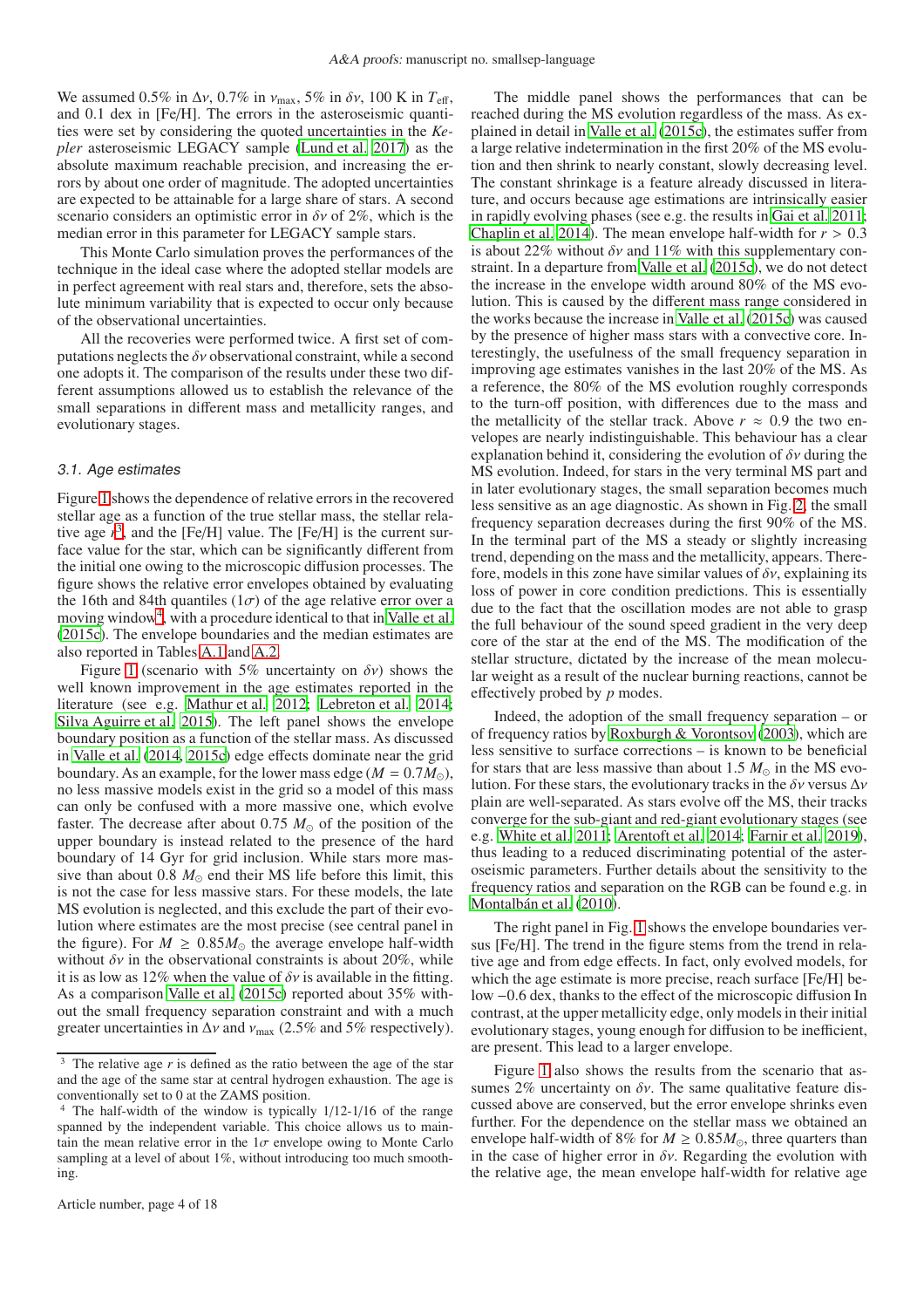We assumed 0.5% in  $\Delta v$ , 0.7% in  $v_{\text{max}}$ , 5% in  $\delta v$ , 100 K in  $T_{\text{eff}}$ , and 0.1 dex in [Fe/H]. The errors in the asteroseismic quantities were set by considering the quoted uncertainties in the *Kepler* asteroseismic LEGACY sample [\(Lund et al. 2017\)](#page-11-6) as the absolute maximum reachable precision, and increasing the errors by about one order of magnitude. The adopted uncertainties are expected to be attainable for a large share of stars. A second scenario considers an optimistic error in  $\delta v$  of 2%, which is the median error in this parameter for LEGACY sample stars.

This Monte Carlo simulation proves the performances of the technique in the ideal case where the adopted stellar models are in perfect agreement with real stars and, therefore, sets the absolute minimum variability that is expected to occur only because of the observational uncertainties.

All the recoveries were performed twice. A first set of computations neglects the  $\delta v$  observational constraint, while a second one adopts it. The comparison of the results under these two different assumptions allowed us to establish the relevance of the small separations in different mass and metallicity ranges, and evolutionary stages.

#### <span id="page-3-2"></span>3.1. Age estimates

Figure [1](#page-4-0) shows the dependence of relative errors in the recovered stellar age as a function of the true stellar mass, the stellar relative age  $r^3$  $r^3$ , and the [Fe/H] value. The [Fe/H] is the current surface value for the star, which can be significantly different from the initial one owing to the microscopic diffusion processes. The figure shows the relative error envelopes obtained by evaluating the 16th and 84th quantiles ( $1\sigma$ ) of the age relative error over a moving window<sup>[4](#page-3-1)</sup>, with a procedure identical to that in [Valle et al.](#page-12-2) [\(2015c\)](#page-12-2). The envelope boundaries and the median estimates are also reported in Tables [A.1](#page-14-0) and [A.2.](#page-15-0)

Figure [1](#page-4-0) (scenario with 5% uncertainty on  $\delta v$ ) shows the well known improvement in the age estimates reported in the literature (see e.g. [Mathur et al. 2012;](#page-11-5) [Lebreton et al. 2014](#page-11-19); [Silva Aguirre et al. 2015\)](#page-12-7). The left panel shows the envelope boundary position as a function of the stellar mass. As discussed in [Valle et al.](#page-12-11) [\(2014,](#page-12-11) [2015c](#page-12-2)) edge effects dominate near the grid boundary. As an example, for the lower mass edge ( $M = 0.7M_{\odot}$ ), no less massive models exist in the grid so a model of this mass can only be confused with a more massive one, which evolve faster. The decrease after about 0.75  $M_{\odot}$  of the position of the upper boundary is instead related to the presence of the hard boundary of 14 Gyr for grid inclusion. While stars more massive than about 0.8  $M_{\odot}$  end their MS life before this limit, this is not the case for less massive stars. For these models, the late MS evolution is neglected, and this exclude the part of their evolution where estimates are the most precise (see central panel in the figure). For  $M \geq 0.85 M_{\odot}$  the average envelope half-width without  $\delta v$  in the observational constraints is about 20%, while it is as low as 12% when the value of  $\delta v$  is available in the fitting. As a comparison [Valle et al. \(2015c\)](#page-12-2) reported about 35% without the small frequency separation constraint and with a much greater uncertainties in  $\Delta v$  and  $v_{\text{max}}$  (2.5% and 5% respectively).

The middle panel shows the performances that can be reached during the MS evolution regardless of the mass. As explained in detail in [Valle et al.](#page-12-2) [\(2015c](#page-12-2)), the estimates suffer from a large relative indetermination in the first 20% of the MS evolution and then shrink to nearly constant, slowly decreasing level. The constant shrinkage is a feature already discussed in literature, and occurs because age estimations are intrinsically easier in rapidly evolving phases (see e.g. the results in [Gai et al.](#page-11-25) [2011;](#page-11-25) [Chaplin et al. 2014\)](#page-11-3). The mean envelope half-width for  $r > 0.3$ is about 22% without  $\delta v$  and 11% with this supplementary constraint. In a departure from [Valle et al.](#page-12-2) [\(2015c\)](#page-12-2), we do not detect the increase in the envelope width around 80% of the MS evolution. This is caused by the different mass range considered in the works because the increase in [Valle et al. \(2015c\)](#page-12-2) was caused by the presence of higher mass stars with a convective core. Interestingly, the usefulness of the small frequency separation in improving age estimates vanishes in the last 20% of the MS. As a reference, the 80% of the MS evolution roughly corresponds to the turn-off position, with differences due to the mass and the metallicity of the stellar track. Above  $r \approx 0.9$  the two envelopes are nearly indistinguishable. This behaviour has a clear explanation behind it, considering the evolution of  $\delta v$  during the MS evolution. Indeed, for stars in the very terminal MS part and in later evolutionary stages, the small separation becomes much less sensitive as an age diagnostic. As shown in Fig. [2,](#page-4-1) the small frequency separation decreases during the first 90% of the MS. In the terminal part of the MS a steady or slightly increasing trend, depending on the mass and the metallicity, appears. Therefore, models in this zone have similar values of  $\delta v$ , explaining its loss of power in core condition predictions. This is essentially due to the fact that the oscillation modes are not able to grasp the full behaviour of the sound speed gradient in the very deep core of the star at the end of the MS. The modification of the stellar structure, dictated by the increase of the mean molecular weight as a result of the nuclear burning reactions, cannot be effectively probed by *p* modes.

Indeed, the adoption of the small frequency separation – or of frequency ratios by [Roxburgh & Vorontsov](#page-12-9) [\(2003\)](#page-12-9), which are less sensitive to surface corrections – is known to be beneficial for stars that are less massive than about 1.5  $M_{\odot}$  in the MS evolution. For these stars, the evolutionary tracks in the  $\delta v$  versus  $\Delta v$ plain are well-separated. As stars evolve off the MS, their tracks converge for the sub-giant and red-giant evolutionary stages (see e.g. [White et al. 2011](#page-12-27); [Arentoft et al. 2014;](#page-11-48) [Farnir et al. 2019\)](#page-11-20), thus leading to a reduced discriminating potential of the asteroseismic parameters. Further details about the sensitivity to the frequency ratios and separation on the RGB can be found e.g. in [Montalbán et al. \(2010](#page-11-49)).

The right panel in Fig. [1](#page-4-0) shows the envelope boundaries versus [Fe/H]. The trend in the figure stems from the trend in relative age and from edge effects. In fact, only evolved models, for which the age estimate is more precise, reach surface [Fe/H] below −0.6 dex, thanks to the effect of the microscopic diffusion In contrast, at the upper metallicity edge, only models in their initial evolutionary stages, young enough for diffusion to be inefficient, are present. This lead to a larger envelope.

Figure [1](#page-4-0) also shows the results from the scenario that assumes 2% uncertainty on  $\delta v$ . The same qualitative feature discussed above are conserved, but the error envelope shrinks even further. For the dependence on the stellar mass we obtained an envelope half-width of 8% for  $M \geq 0.85M_{\odot}$ , three quarters than in the case of higher error in  $\delta v$ . Regarding the evolution with the relative age, the mean envelope half-width for relative age

<span id="page-3-0"></span><sup>&</sup>lt;sup>3</sup> The relative age  $r$  is defined as the ratio between the age of the star and the age of the same star at central hydrogen exhaustion. The age is conventionally set to 0 at the ZAMS position.

<span id="page-3-1"></span><sup>4</sup> The half-width of the window is typically 1/12-1/16 of the range spanned by the independent variable. This choice allows us to maintain the mean relative error in the  $1\sigma$  envelope owing to Monte Carlo sampling at a level of about 1%, without introducing too much smoothing.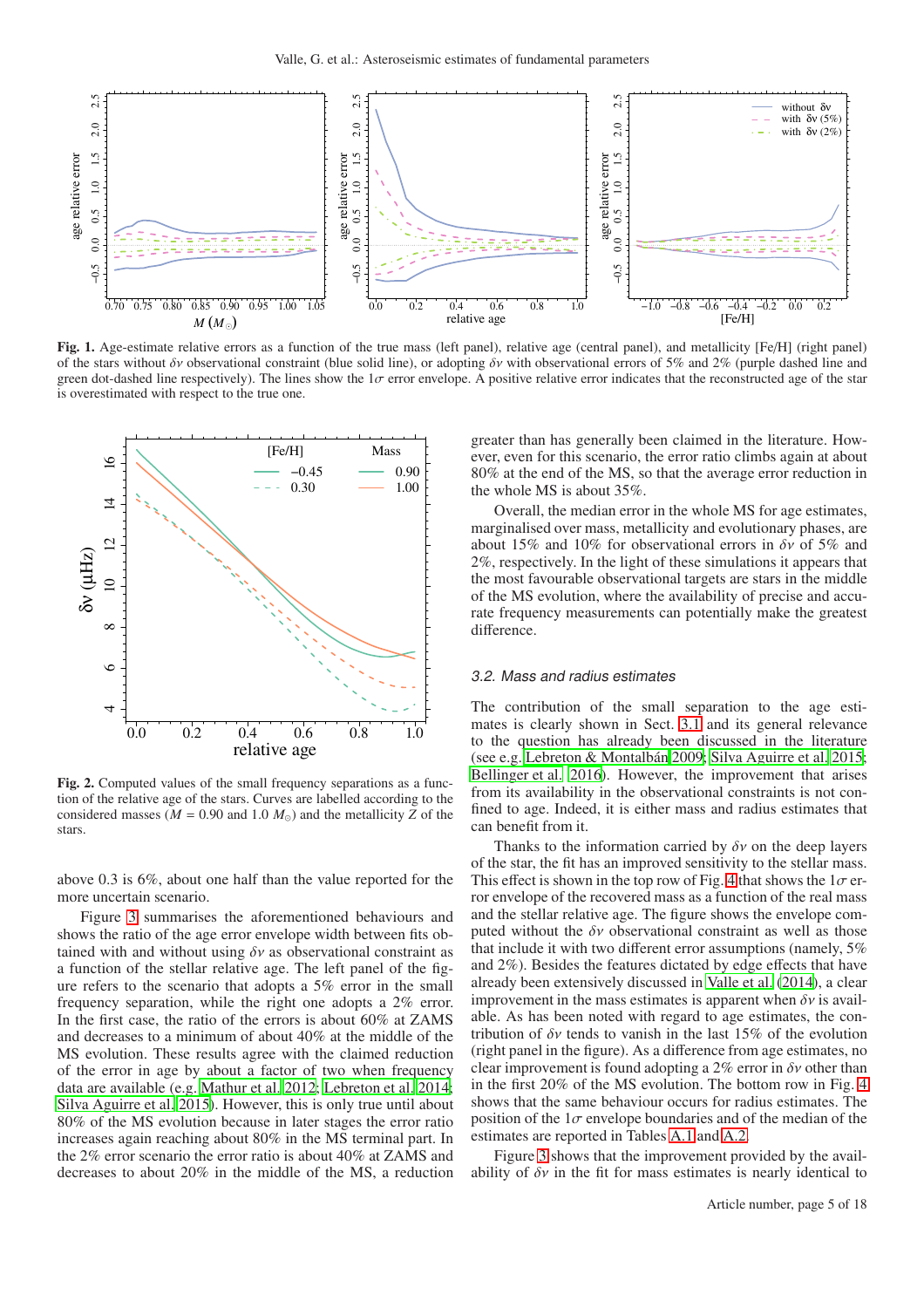

<span id="page-4-0"></span>Fig. 1. Age-estimate relative errors as a function of the true mass (left panel), relative age (central panel), and metallicity [Fe/H] (right panel) of the stars without δν observational constraint (blue solid line), or adopting δν with observational errors of 5% and 2% (purple dashed line and green dot-dashed line respectively). The lines show the  $1\sigma$  error envelope. A positive relative error indicates that the reconstructed age of the star is overestimated with respect to the true one.



<span id="page-4-1"></span>Fig. 2. Computed values of the small frequency separations as a function of the relative age of the stars. Curves are labelled according to the considered masses ( $M = 0.90$  and 1.0  $M_{\odot}$ ) and the metallicity *Z* of the stars.

above 0.3 is 6%, about one half than the value reported for the more uncertain scenario.

Figure [3](#page-5-1) summarises the aforementioned behaviours and shows the ratio of the age error envelope width between fits obtained with and without using  $\delta v$  as observational constraint as a function of the stellar relative age. The left panel of the figure refers to the scenario that adopts a 5% error in the small frequency separation, while the right one adopts a 2% error. In the first case, the ratio of the errors is about 60% at ZAMS and decreases to a minimum of about 40% at the middle of the MS evolution. These results agree with the claimed reduction of the error in age by about a factor of two when frequency data are available (e.g. [Mathur et al. 2012;](#page-11-5) [Lebreton et al. 2014](#page-11-19); [Silva Aguirre et al. 2015\)](#page-12-7). However, this is only true until about 80% of the MS evolution because in later stages the error ratio increases again reaching about 80% in the MS terminal part. In the 2% error scenario the error ratio is about 40% at ZAMS and decreases to about 20% in the middle of the MS, a reduction greater than has generally been claimed in the literature. However, even for this scenario, the error ratio climbs again at about 80% at the end of the MS, so that the average error reduction in the whole MS is about 35%.

Overall, the median error in the whole MS for age estimates, marginalised over mass, metallicity and evolutionary phases, are about 15% and 10% for observational errors in  $\delta v$  of 5% and 2%, respectively. In the light of these simulations it appears that the most favourable observational targets are stars in the middle of the MS evolution, where the availability of precise and accurate frequency measurements can potentially make the greatest difference.

#### 3.2. Mass and radius estimates

The contribution of the small separation to the age estimates is clearly shown in Sect. [3.1](#page-3-2) and its general relevance to the question has already been discussed in the literature (see e.g. [Lebreton & Montalbán 2009;](#page-11-50) [Silva Aguirre et al. 2015;](#page-12-7) [Bellinger et al. 2016](#page-11-14)). However, the improvement that arises from its availability in the observational constraints is not confined to age. Indeed, it is either mass and radius estimates that can benefit from it.

Thanks to the information carried by  $\delta y$  on the deep layers of the star, the fit has an improved sensitivity to the stellar mass. This effect is shown in the top row of Fig. [4](#page-6-0) that shows the  $1\sigma$  error envelope of the recovered mass as a function of the real mass and the stellar relative age. The figure shows the envelope computed without the  $\delta v$  observational constraint as well as those that include it with two different error assumptions (namely, 5% and 2%). Besides the features dictated by edge effects that have already been extensively discussed in [Valle et al.](#page-12-11) [\(2014\)](#page-12-11), a clear improvement in the mass estimates is apparent when  $\delta v$  is available. As has been noted with regard to age estimates, the contribution of  $\delta v$  tends to vanish in the last 15% of the evolution (right panel in the figure). As a difference from age estimates, no clear improvement is found adopting a 2% error in  $\delta v$  other than in the first 20% of the MS evolution. The bottom row in Fig. [4](#page-6-0) shows that the same behaviour occurs for radius estimates. The position of the  $1\sigma$  envelope boundaries and of the median of the estimates are reported in Tables [A.1](#page-14-0) and [A.2.](#page-15-0)

Figure [3](#page-5-1) shows that the improvement provided by the availability of  $\delta v$  in the fit for mass estimates is nearly identical to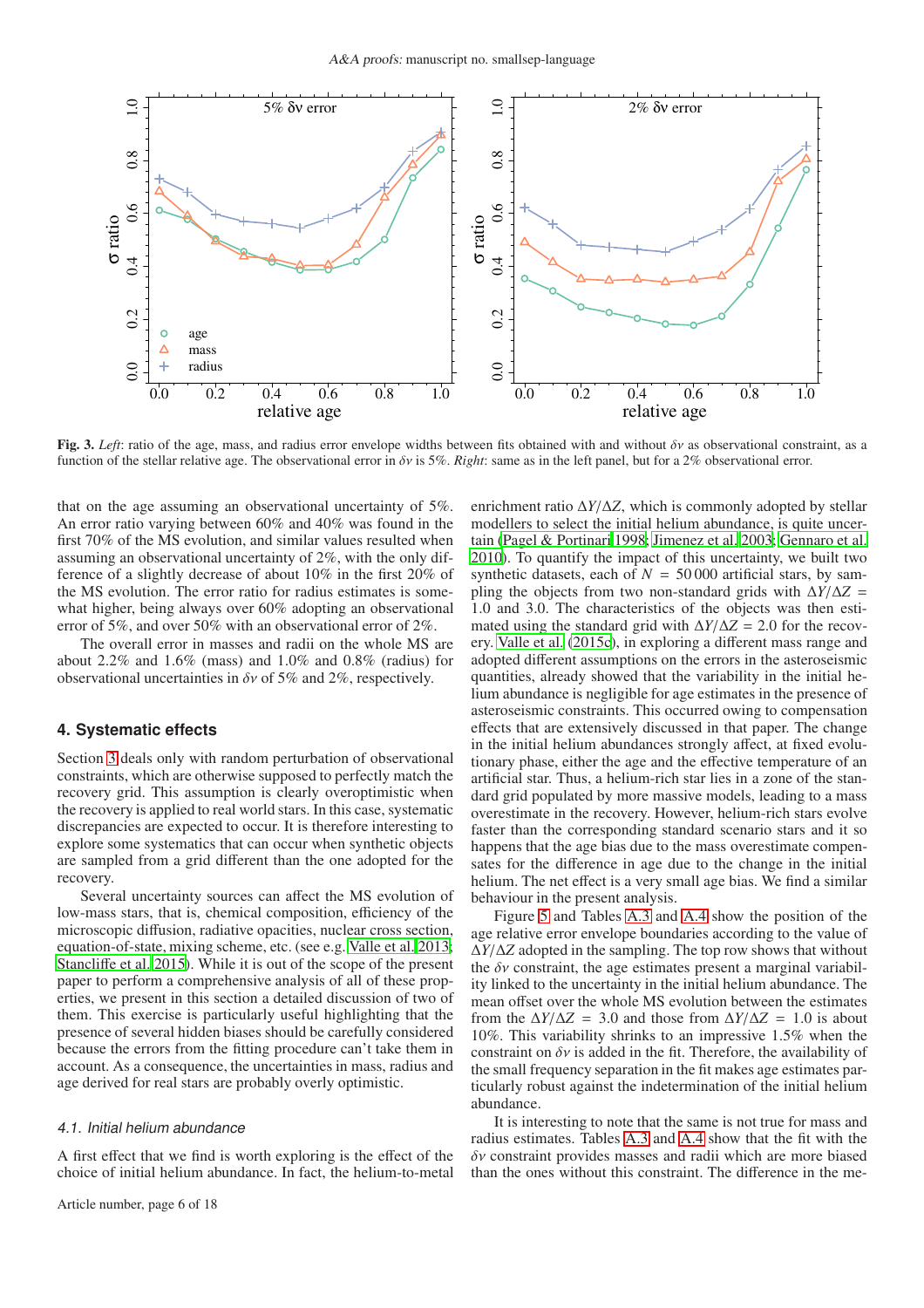

<span id="page-5-1"></span>Fig. 3. *Left*: ratio of the age, mass, and radius error envelope widths between fits obtained with and without  $\delta y$  as observational constraint, as a function of the stellar relative age. The observational error in δν is 5%. *Right*: same as in the left panel, but for a 2% observational error.

that on the age assuming an observational uncertainty of 5%. An error ratio varying between 60% and 40% was found in the first 70% of the MS evolution, and similar values resulted when assuming an observational uncertainty of 2%, with the only difference of a slightly decrease of about 10% in the first 20% of the MS evolution. The error ratio for radius estimates is somewhat higher, being always over 60% adopting an observational error of 5%, and over 50% with an observational error of 2%.

The overall error in masses and radii on the whole MS are about 2.2% and 1.6% (mass) and 1.0% and 0.8% (radius) for observational uncertainties in  $\delta v$  of 5% and 2%, respectively.

## <span id="page-5-0"></span>**4. Systematic effects**

Section [3](#page-2-4) deals only with random perturbation of observational constraints, which are otherwise supposed to perfectly match the recovery grid. This assumption is clearly overoptimistic when the recovery is applied to real world stars. In this case, systematic discrepancies are expected to occur. It is therefore interesting to explore some systematics that can occur when synthetic objects are sampled from a grid different than the one adopted for the recovery.

Several uncertainty sources can affect the MS evolution of low-mass stars, that is, chemical composition, efficiency of the microscopic diffusion, radiative opacities, nuclear cross section, equation-of-state, mixing scheme, etc. (see e.g. [Valle et al. 2013](#page-12-28); [Stancli](#page-12-29)ffe et al. [2015\)](#page-12-29). While it is out of the scope of the present paper to perform a comprehensive analysis of all of these properties, we present in this section a detailed discussion of two of them. This exercise is particularly useful highlighting that the presence of several hidden biases should be carefully considered because the errors from the fitting procedure can't take them in account. As a consequence, the uncertainties in mass, radius and age derived for real stars are probably overly optimistic.

#### <span id="page-5-2"></span>4.1. Initial helium abundance

A first effect that we find is worth exploring is the effect of the choice of initial helium abundance. In fact, the helium-to-metal enrichment ratio ∆*Y*/∆*Z*, which is commonly adopted by stellar modellers to select the initial helium abundance, is quite uncertain [\(Pagel & Portinari 1998;](#page-11-51) [Jimenez et al. 2003;](#page-11-52) [Gennaro et](#page-11-29) al. [2010\)](#page-11-29). To quantify the impact of this uncertainty, we built two synthetic datasets, each of  $N = 50000$  artificial stars, by sampling the objects from two non-standard grids with ∆*Y*/∆*Z* = 1.0 and 3.0. The characteristics of the objects was then estimated using the standard grid with  $\Delta Y/\Delta Z = 2.0$  for the recovery. [Valle et al. \(2015c\)](#page-12-2), in exploring a different mass range and adopted different assumptions on the errors in the asteroseismic quantities, already showed that the variability in the initial helium abundance is negligible for age estimates in the presence of asteroseismic constraints. This occurred owing to compensation effects that are extensively discussed in that paper. The change in the initial helium abundances strongly affect, at fixed evolutionary phase, either the age and the effective temperature of an artificial star. Thus, a helium-rich star lies in a zone of the standard grid populated by more massive models, leading to a mass overestimate in the recovery. However, helium-rich stars evolve faster than the corresponding standard scenario stars and it so happens that the age bias due to the mass overestimate compensates for the difference in age due to the change in the initial helium. The net effect is a very small age bias. We find a similar behaviour in the present analysis.

Figure [5](#page-7-0) and Tables [A.3](#page-16-0) and [A.4](#page-16-1) show the position of the age relative error envelope boundaries according to the value of ∆*Y*/∆*Z* adopted in the sampling. The top row shows that without the  $\delta v$  constraint, the age estimates present a marginal variability linked to the uncertainty in the initial helium abundance. The mean offset over the whole MS evolution between the estimates from the  $\Delta Y/\Delta Z = 3.0$  and those from  $\Delta Y/\Delta Z = 1.0$  is about 10%. This variability shrinks to an impressive 1.5% when the constraint on  $\delta v$  is added in the fit. Therefore, the availability of the small frequency separation in the fit makes age estimates particularly robust against the indetermination of the initial helium abundance.

It is interesting to note that the same is not true for mass and radius estimates. Tables [A.3](#page-16-0) and [A.4](#page-16-1) show that the fit with the  $\delta v$  constraint provides masses and radii which are more biased than the ones without this constraint. The difference in the me-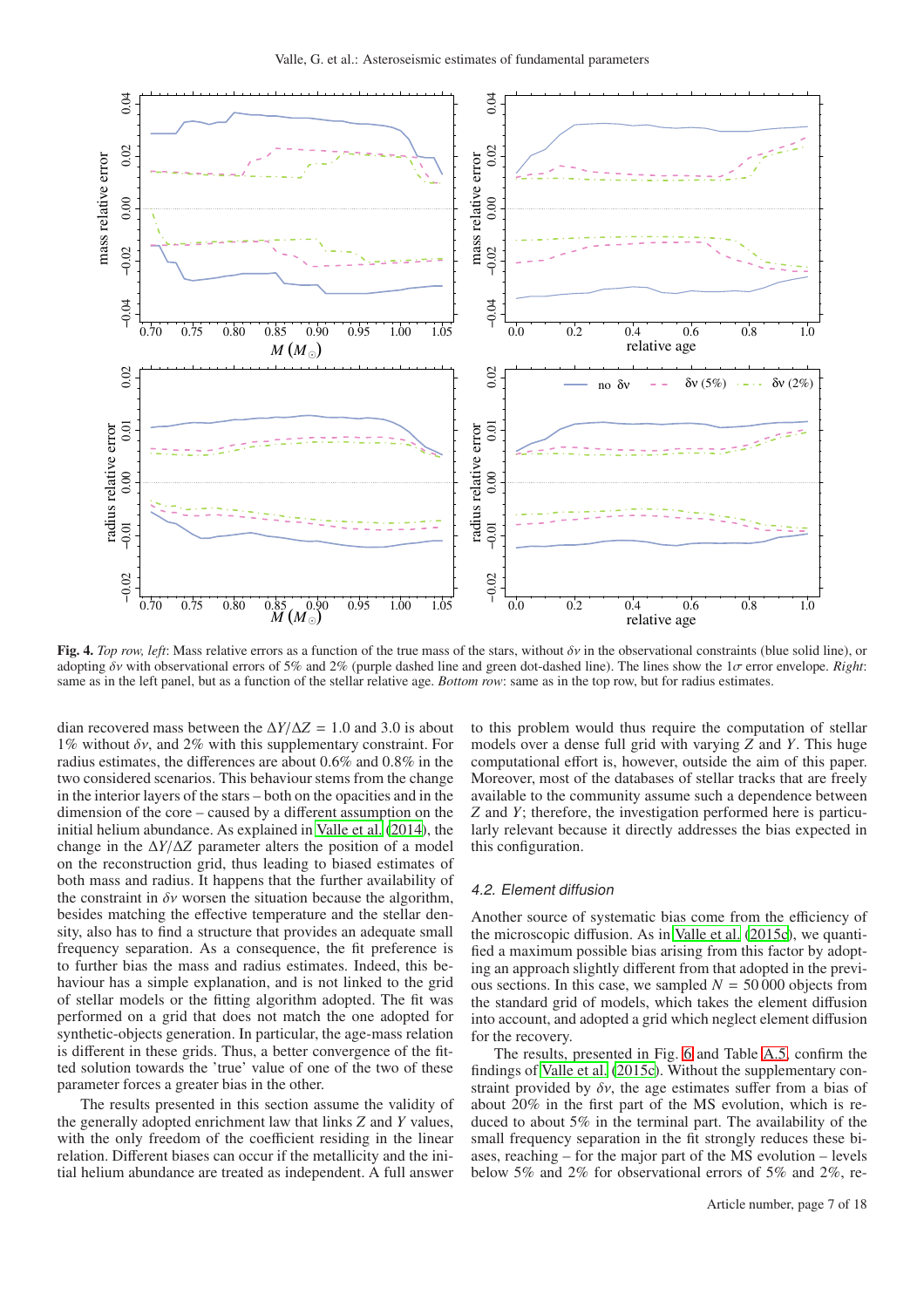

<span id="page-6-0"></span>Fig. 4. *Top row, left*: Mass relative errors as a function of the true mass of the stars, without  $\delta v$  in the observational constraints (blue solid line), or adopting δν with observational errors of 5% and 2% (purple dashed line and green dot-dashed line). The lines show the 1σ error envelope. *Right*: same as in the left panel, but as a function of the stellar relative age. *Bottom row*: same as in the top row, but for radius estimates.

dian recovered mass between the  $\Delta Y/\Delta Z = 1.0$  and 3.0 is about 1% without  $\delta v$ , and 2% with this supplementary constraint. For radius estimates, the differences are about 0.6% and 0.8% in the two considered scenarios. This behaviour stems from the change in the interior layers of the stars – both on the opacities and in the dimension of the core – caused by a different assumption on the initial helium abundance. As explained in [Valle et al.](#page-12-11) [\(2014\)](#page-12-11), the change in the ∆*Y*/∆*Z* parameter alters the position of a model on the reconstruction grid, thus leading to biased estimates of both mass and radius. It happens that the further availability of the constraint in  $\delta v$  worsen the situation because the algorithm, besides matching the effective temperature and the stellar density, also has to find a structure that provides an adequate small frequency separation. As a consequence, the fit preference is to further bias the mass and radius estimates. Indeed, this behaviour has a simple explanation, and is not linked to the grid of stellar models or the fitting algorithm adopted. The fit was performed on a grid that does not match the one adopted for synthetic-objects generation. In particular, the age-mass relation is different in these grids. Thus, a better convergence of the fitted solution towards the 'true' value of one of the two of these parameter forces a greater bias in the other.

The results presented in this section assume the validity of the generally adopted enrichment law that links *Z* and *Y* values, with the only freedom of the coefficient residing in the linear relation. Different biases can occur if the metallicity and the initial helium abundance are treated as independent. A full answer to this problem would thus require the computation of stellar models over a dense full grid with varying *Z* and *Y*. This huge computational effort is, however, outside the aim of this paper. Moreover, most of the databases of stellar tracks that are freely available to the community assume such a dependence between *Z* and *Y*; therefore, the investigation performed here is particularly relevant because it directly addresses the bias expected in this configuration.

### 4.2. Element diffusion

Another source of systematic bias come from the efficiency of the microscopic diffusion. As in [Valle et al. \(2015c\)](#page-12-2), we quantified a maximum possible bias arising from this factor by adopting an approach slightly different from that adopted in the previous sections. In this case, we sampled  $N = 50,000$  objects from the standard grid of models, which takes the element diffusion into account, and adopted a grid which neglect element diffusion for the recovery.

The results, presented in Fig. [6](#page-8-0) and Table [A.5,](#page-17-0) confirm the findings of [Valle et al. \(2015c\)](#page-12-2). Without the supplementary constraint provided by  $\delta v$ , the age estimates suffer from a bias of about 20% in the first part of the MS evolution, which is reduced to about 5% in the terminal part. The availability of the small frequency separation in the fit strongly reduces these biases, reaching – for the major part of the MS evolution – levels below 5% and 2% for observational errors of 5% and 2%, re-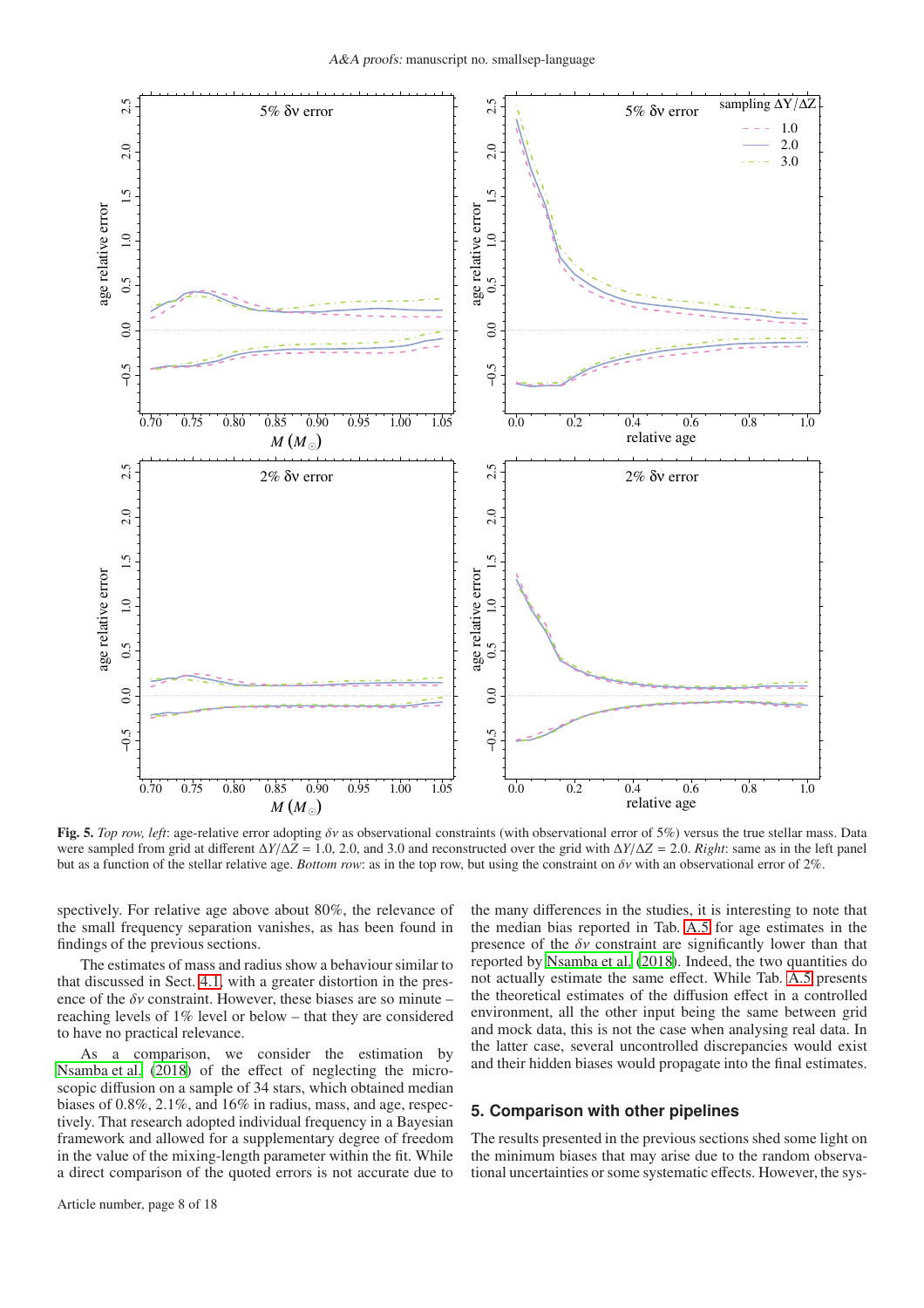

<span id="page-7-0"></span>Fig. 5. *Top row, left*: age-relative error adopting δν as observational constraints (with observational error of 5%) versus the true stellar mass. Data were sampled from grid at different ∆*Y*/∆*Z* = 1.0, 2.0, and 3.0 and reconstructed over the grid with ∆*Y*/∆*Z* = 2.0. *Right*: same as in the left panel but as a function of the stellar relative age. *Bottom row*: as in the top row, but using the constraint on  $\delta v$  with an observational error of 2%.

spectively. For relative age above about 80%, the relevance of the small frequency separation vanishes, as has been found in findings of the previous sections.

The estimates of mass and radius show a behaviour similar to that discussed in Sect. [4.1,](#page-5-2) with a greater distortion in the presence of the  $\delta v$  constraint. However, these biases are so minute – reaching levels of 1% level or below – that they are considered to have no practical relevance.

As a comparison, we consider the estimation by [Nsamba et al. \(2018](#page-11-24)) of the effect of neglecting the microscopic diffusion on a sample of 34 stars, which obtained median biases of 0.8%, 2.1%, and 16% in radius, mass, and age, respectively. That research adopted individual frequency in a Bayesian framework and allowed for a supplementary degree of freedom in the value of the mixing-length parameter within the fit. While a direct comparison of the quoted errors is not accurate due to

Article number, page 8 of 18

the many differences in the studies, it is interesting to note that the median bias reported in Tab. [A.5](#page-17-0) for age estimates in the presence of the  $\delta y$  constraint are significantly lower than that reported by [Nsamba et al. \(2018\)](#page-11-24). Indeed, the two quantities do not actually estimate the same effect. While Tab. [A.5](#page-17-0) presents the theoretical estimates of the diffusion effect in a controlled environment, all the other input being the same between grid and mock data, this is not the case when analysing real data. In the latter case, several uncontrolled discrepancies would exist and their hidden biases would propagate into the final estimates.

## **5. Comparison with other pipelines**

The results presented in the previous sections shed some light on the minimum biases that may arise due to the random observational uncertainties or some systematic effects. However, the sys-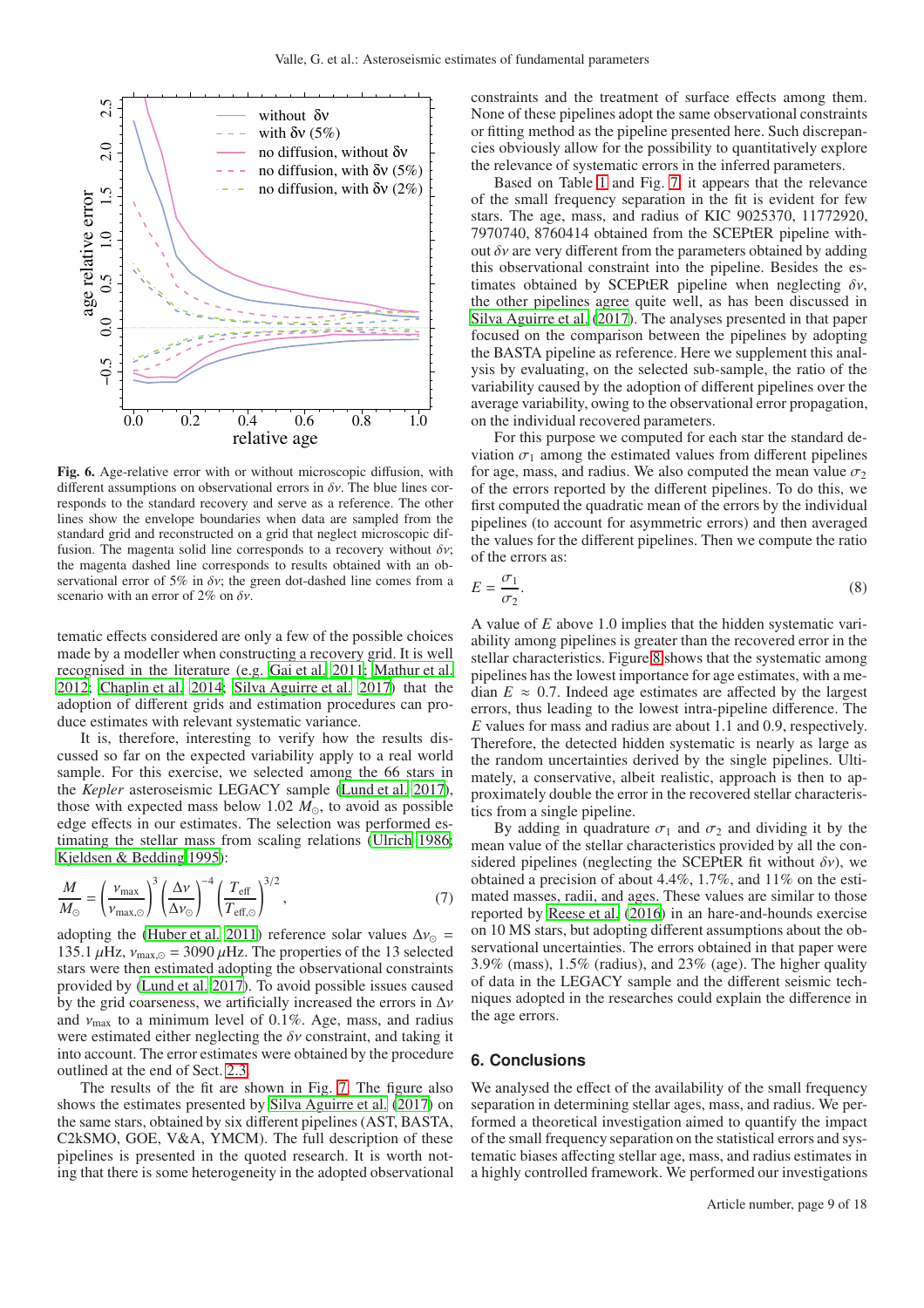

<span id="page-8-0"></span>Fig. 6. Age-relative error with or without microscopic diffusion, with different assumptions on observational errors in  $\delta v$ . The blue lines corresponds to the standard recovery and serve as a reference. The other lines show the envelope boundaries when data are sampled from the standard grid and reconstructed on a grid that neglect microscopic diffusion. The magenta solid line corresponds to a recovery without  $\delta v$ ; the magenta dashed line corresponds to results obtained with an observational error of 5% in  $\delta v$ ; the green dot-dashed line comes from a scenario with an error of 2% on  $\delta v$ .

tematic effects considered are only a few of the possible choices made by a modeller when constructing a recovery grid. It is well recognised in the literature (e.g. [Gai et al. 2011](#page-11-25); [Mathur et](#page-11-5) al. [2012;](#page-11-5) [Chaplin et al. 2014](#page-11-3); [Silva Aguirre et al. 2017\)](#page-12-8) that the adoption of different grids and estimation procedures can produce estimates with relevant systematic variance.

It is, therefore, interesting to verify how the results discussed so far on the expected variability apply to a real world sample. For this exercise, we selected among the 66 stars in the *Kepler* asteroseismic LEGACY sample [\(Lund et al. 2017](#page-11-6)), those with expected mass below 1.02  $M_{\odot}$ , to avoid as possible edge effects in our estimates. The selection was performed estimating the stellar mass from scaling relations [\(Ulrich 1986](#page-12-30); [Kjeldsen & Bedding 1995](#page-11-39)):

$$
\frac{M}{M_{\odot}} = \left(\frac{\nu_{\text{max}}}{\nu_{\text{max},\odot}}\right)^3 \left(\frac{\Delta \nu}{\Delta \nu_{\odot}}\right)^{-4} \left(\frac{T_{\text{eff}}}{T_{\text{eff},\odot}}\right)^{3/2},\tag{7}
$$

adopting the [\(Huber et al. 2011\)](#page-11-53) reference solar values  $\Delta v_{\odot}$  = 135.1  $\mu$ Hz,  $v_{\text{max}.\odot} = 3090 \,\mu$ Hz. The properties of the 13 selected stars were then estimated adopting the observational constraints provided by [\(Lund et al. 2017\)](#page-11-6). To avoid possible issues caused by the grid coarseness, we artificially increased the errors in  $\Delta v$ and  $v_{\text{max}}$  to a minimum level of 0.1%. Age, mass, and radius were estimated either neglecting the  $\delta v$  constraint, and taking it into account. The error estimates were obtained by the procedure outlined at the end of Sect. [2.3.](#page-2-0)

The results of the fit are shown in Fig. [7.](#page-9-0) The figure also shows the estimates presented by [Silva Aguirre et al.](#page-12-8) [\(2017\)](#page-12-8) on the same stars, obtained by six different pipelines (AST, BASTA, C2kSMO, GOE, V&A, YMCM). The full description of these pipelines is presented in the quoted research. It is worth noting that there is some heterogeneity in the adopted observational constraints and the treatment of surface effects among them. None of these pipelines adopt the same observational constraints or fitting method as the pipeline presented here. Such discrepancies obviously allow for the possibility to quantitatively explore the relevance of systematic errors in the inferred parameters.

Based on Table [1](#page-10-0) and Fig. [7,](#page-9-0) it appears that the relevance of the small frequency separation in the fit is evident for few stars. The age, mass, and radius of KIC 9025370, 11772920, 7970740, 8760414 obtained from the SCEPtER pipeline without  $\delta v$  are very different from the parameters obtained by adding this observational constraint into the pipeline. Besides the estimates obtained by SCEPtER pipeline when neglecting  $\delta v$ , the other pipelines agree quite well, as has been discussed in [Silva Aguirre et al.](#page-12-8) [\(2017\)](#page-12-8). The analyses presented in that paper focused on the comparison between the pipelines by adopting the BASTA pipeline as reference. Here we supplement this analysis by evaluating, on the selected sub-sample, the ratio of the variability caused by the adoption of different pipelines over the average variability, owing to the observational error propagation, on the individual recovered parameters.

For this purpose we computed for each star the standard deviation  $\sigma_1$  among the estimated values from different pipelines for age, mass, and radius. We also computed the mean value  $\sigma_2$ of the errors reported by the different pipelines. To do this, we first computed the quadratic mean of the errors by the individual pipelines (to account for asymmetric errors) and then averaged the values for the different pipelines. Then we compute the ratio of the errors as:

$$
E = \frac{\sigma_1}{\sigma_2}.\tag{8}
$$

A value of *E* above 1.0 implies that the hidden systematic variability among pipelines is greater than the recovered error in the stellar characteristics. Figure [8](#page-10-1) shows that the systematic among pipelines has the lowest importance for age estimates, with a median  $E \approx 0.7$ . Indeed age estimates are affected by the largest errors, thus leading to the lowest intra-pipeline difference. The *E* values for mass and radius are about 1.1 and 0.9, respectively. Therefore, the detected hidden systematic is nearly as large as the random uncertainties derived by the single pipelines. Ultimately, a conservative, albeit realistic, approach is then to approximately double the error in the recovered stellar characteristics from a single pipeline.

By adding in quadrature  $\sigma_1$  and  $\sigma_2$  and dividing it by the mean value of the stellar characteristics provided by all the considered pipelines (neglecting the SCEPtER fit without  $\delta v$ ), we obtained a precision of about 4.4%, 1.7%, and 11% on the estimated masses, radii, and ages. These values are similar to those reported by [Reese et al. \(2016\)](#page-12-31) in an hare-and-hounds exercise on 10 MS stars, but adopting different assumptions about the observational uncertainties. The errors obtained in that paper were 3.9% (mass), 1.5% (radius), and 23% (age). The higher quality of data in the LEGACY sample and the different seismic techniques adopted in the researches could explain the difference in the age errors.

## **6. Conclusions**

We analysed the effect of the availability of the small frequency separation in determining stellar ages, mass, and radius. We performed a theoretical investigation aimed to quantify the impact of the small frequency separation on the statistical errors and systematic biases affecting stellar age, mass, and radius estimates in a highly controlled framework. We performed our investigations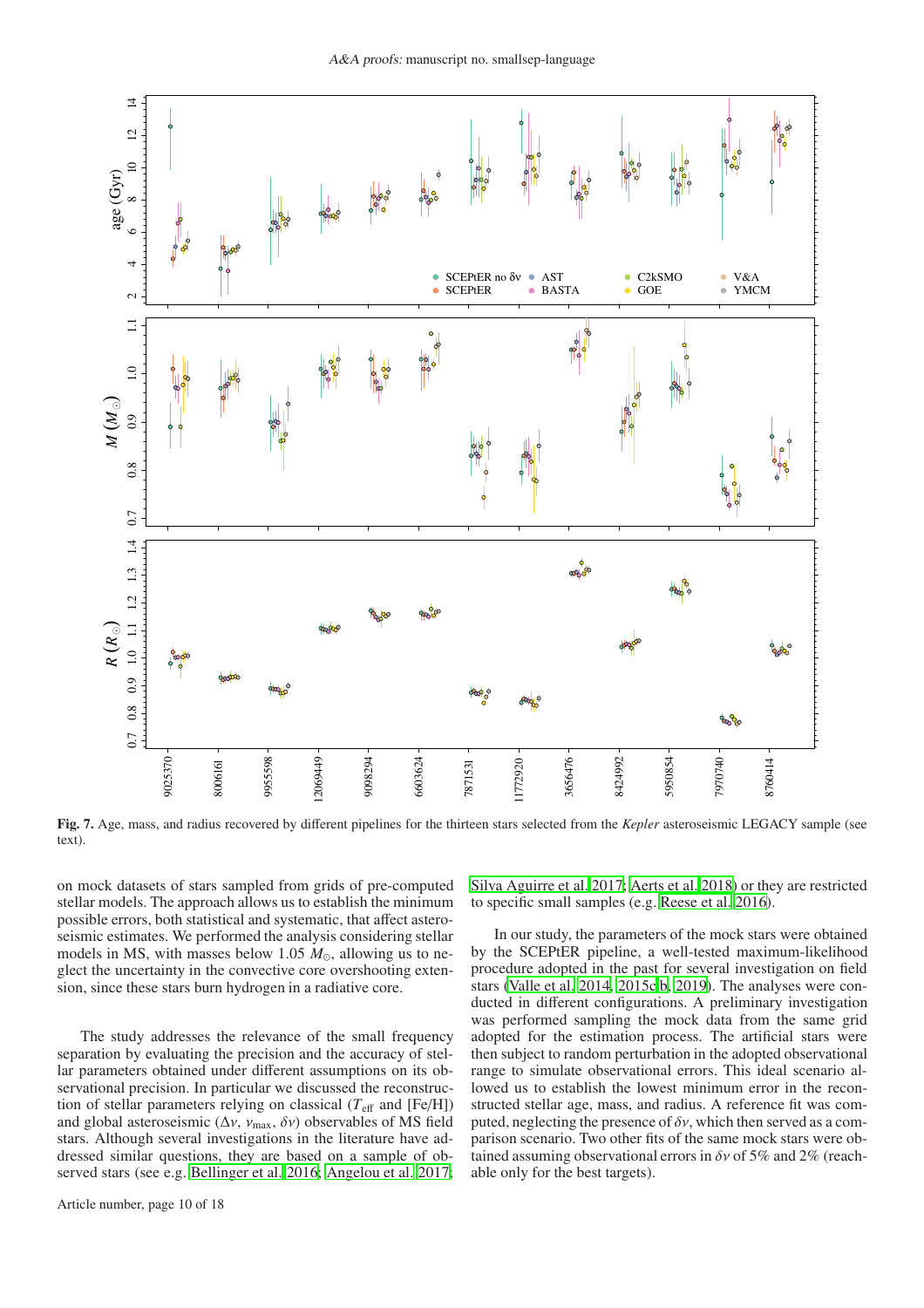

<span id="page-9-0"></span>Fig. 7. Age, mass, and radius recovered by different pipelines for the thirteen stars selected from the *Kepler* asteroseismic LEGACY sample (see text).

on mock datasets of stars sampled from grids of pre-computed stellar models. The approach allows us to establish the minimum possible errors, both statistical and systematic, that affect asteroseismic estimates. We performed the analysis considering stellar models in MS, with masses below 1.05  $M_{\odot}$ , allowing us to neglect the uncertainty in the convective core overshooting extension, since these stars burn hydrogen in a radiative core.

The study addresses the relevance of the small frequency separation by evaluating the precision and the accuracy of stellar parameters obtained under different assumptions on its observational precision. In particular we discussed the reconstruction of stellar parameters relying on classical  $(T_{\text{eff}}$  and  $[Fe/H])$ and global asteroseismic ( $\Delta v$ ,  $v_{\text{max}}$ ,  $\delta v$ ) observables of MS field stars. Although several investigations in the literature have addressed similar questions, they are based on a sample of observed stars (see e.g. [Bellinger et al. 2016;](#page-11-14) [Angelou et al. 2017](#page-11-23); [Silva Aguirre et al. 2017](#page-12-8); [Aerts et al. 2018\)](#page-11-15) or they are restricted to specific small samples (e.g. [Reese et al. 2016\)](#page-12-31).

In our study, the parameters of the mock stars were obtained by the SCEPtER pipeline, a well-tested maximum-likelihood procedure adopted in the past for several investigation on field stars [\(Valle et al. 2014,](#page-12-11) [2015c](#page-12-2)[,b,](#page-12-3) [2019](#page-12-26)). The analyses were conducted in different configurations. A preliminary investigation was performed sampling the mock data from the same grid adopted for the estimation process. The artificial stars were then subject to random perturbation in the adopted observational range to simulate observational errors. This ideal scenario allowed us to establish the lowest minimum error in the reconstructed stellar age, mass, and radius. A reference fit was computed, neglecting the presence of  $\delta v$ , which then served as a comparison scenario. Two other fits of the same mock stars were obtained assuming observational errors in  $\delta v$  of 5% and 2% (reachable only for the best targets).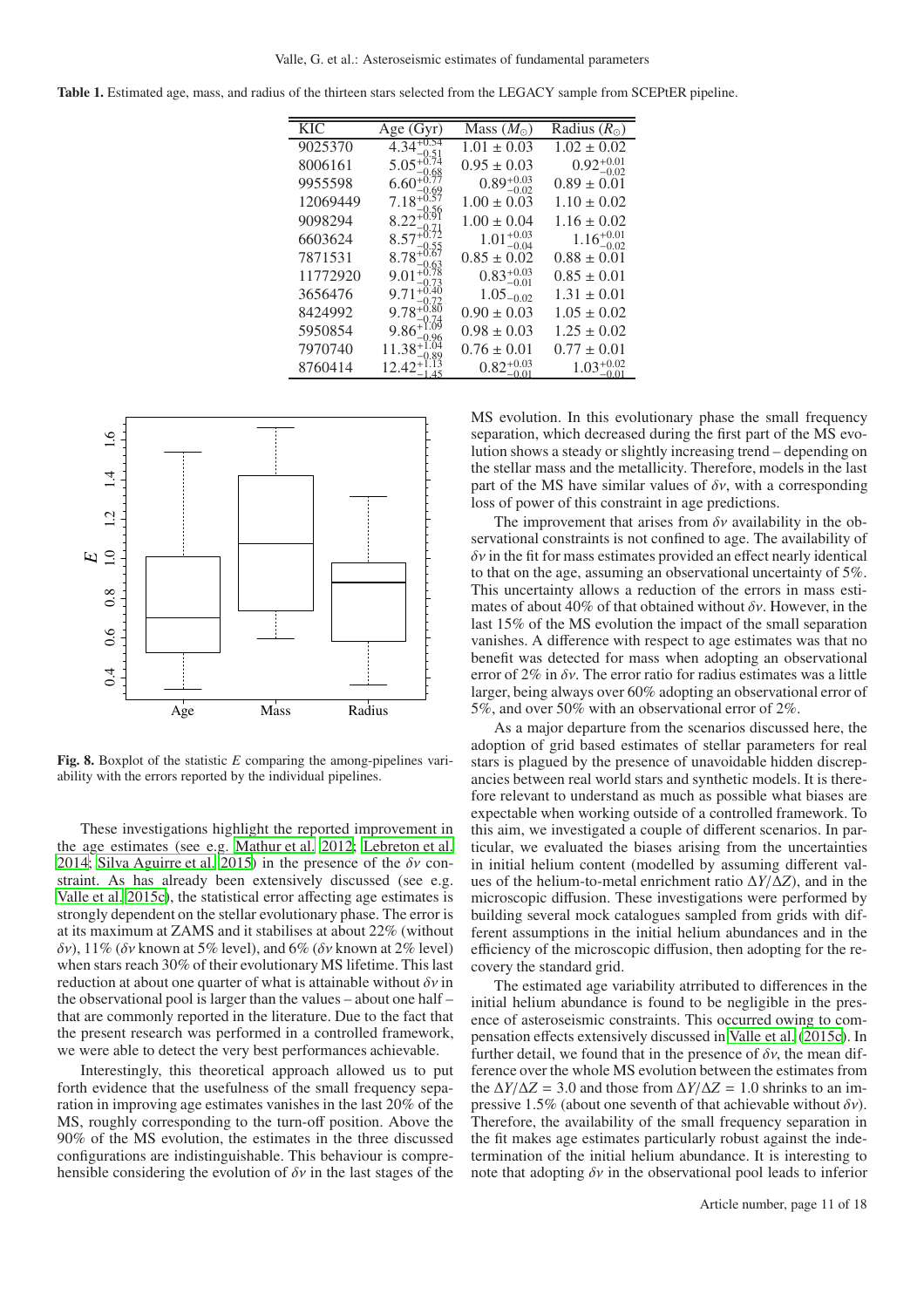<span id="page-10-0"></span>Table 1. Estimated age, mass, and radius of the thirteen stars selected from the LEGACY sample from SCEPtER pipeline.

| KIC      | Age $(Gyr)$            | $\overline{\text{Mass}} (M_{\odot})$ | Radius $(R_{\odot})$   |
|----------|------------------------|--------------------------------------|------------------------|
| 9025370  | $4.34_{-0.54}^{+0.54}$ | $1.01 \pm 0.03$                      | $1.02 \pm 0.02$        |
| 8006161  | $5.05^{+}$             | $0.95 \pm 0.03$                      | $0.92^{+0.01}_{-0.02}$ |
| 9955598  | $6.60^{+}$             | $0.89^{+0.03}_{-0.02}$               | $0.89 \pm 0.01$        |
| 12069449 | $7.18^{+0.5}$          | $1.00 \pm 0.03$                      | $1.10 \pm 0.02$        |
| 9098294  | $8.22^{+}$             | $1.00 \pm 0.04$                      | $1.16 \pm 0.02$        |
| 6603624  | $8.57+$                | $1.01_{-0.04}^{+0.03}$               | $1.16^{+0.01}_{-0.02}$ |
| 7871531  | $8.78^{+0}$            | $0.85 \pm 0.02$                      | $0.88 \pm 0.01$        |
| 11772920 | $9.01^{-1}$            | $0.83^{+0.03}_{-0.01}$               | $0.85 \pm 0.01$        |
| 3656476  | $9.71^{+0}$            | $1.05_{-0.02}$                       | $1.31 \pm 0.01$        |
| 8424992  | $9.78^{+0}$            | $0.90 \pm 0.03$                      | $1.05 \pm 0.02$        |
| 5950854  | 9.86                   | $0.98 \pm 0.03$                      | $1.25 \pm 0.02$        |
| 7970740  | $11.38^{+}$            | $0.76 \pm 0.01$                      | $0.77 \pm 0.01$        |
| 8760414  | 12.42                  | $0.82^{+0.03}$                       | $1.03_{-0.02}^{+0.02}$ |



<span id="page-10-1"></span>Fig. 8. Boxplot of the statistic *E* comparing the among-pipelines variability with the errors reported by the individual pipelines.

These investigations highlight the reported improvement in the age estimates (see e.g. [Mathur et al. 2012](#page-11-5); [Lebreton et al.](#page-11-19) [2014;](#page-11-19) [Silva Aguirre et al. 2015](#page-12-7)) in the presence of the  $\delta v$  constraint. As has already been extensively discussed (see e.g. [Valle et al. 2015c](#page-12-2)), the statistical error affecting age estimates is strongly dependent on the stellar evolutionary phase. The error is at its maximum at ZAMS and it stabilises at about 22% (without δν), 11% (δν known at 5% level), and 6% (δν known at 2% level) when stars reach 30% of their evolutionary MS lifetime. This last reduction at about one quarter of what is attainable without  $\delta v$  in the observational pool is larger than the values – about one half – that are commonly reported in the literature. Due to the fact that the present research was performed in a controlled framework, we were able to detect the very best performances achievable.

Interestingly, this theoretical approach allowed us to put forth evidence that the usefulness of the small frequency separation in improving age estimates vanishes in the last 20% of the MS, roughly corresponding to the turn-off position. Above the 90% of the MS evolution, the estimates in the three discussed configurations are indistinguishable. This behaviour is comprehensible considering the evolution of  $\delta v$  in the last stages of the

MS evolution. In this evolutionary phase the small frequency separation, which decreased during the first part of the MS evolution shows a steady or slightly increasing trend – depending on the stellar mass and the metallicity. Therefore, models in the last part of the MS have similar values of  $\delta v$ , with a corresponding loss of power of this constraint in age predictions.

The improvement that arises from  $\delta y$  availability in the observational constraints is not confined to age. The availability of  $\delta v$  in the fit for mass estimates provided an effect nearly identical to that on the age, assuming an observational uncertainty of 5%. This uncertainty allows a reduction of the errors in mass estimates of about 40% of that obtained without  $\delta v$ . However, in the last 15% of the MS evolution the impact of the small separation vanishes. A difference with respect to age estimates was that no benefit was detected for mass when adopting an observational error of 2% in  $\delta v$ . The error ratio for radius estimates was a little larger, being always over 60% adopting an observational error of 5%, and over 50% with an observational error of 2%.

As a major departure from the scenarios discussed here, the adoption of grid based estimates of stellar parameters for real stars is plagued by the presence of unavoidable hidden discrepancies between real world stars and synthetic models. It is therefore relevant to understand as much as possible what biases are expectable when working outside of a controlled framework. To this aim, we investigated a couple of different scenarios. In particular, we evaluated the biases arising from the uncertainties in initial helium content (modelled by assuming different values of the helium-to-metal enrichment ratio ∆*Y*/∆*Z*), and in the microscopic diffusion. These investigations were performed by building several mock catalogues sampled from grids with different assumptions in the initial helium abundances and in the efficiency of the microscopic diffusion, then adopting for the recovery the standard grid.

The estimated age variability atrributed to differences in the initial helium abundance is found to be negligible in the presence of asteroseismic constraints. This occurred owing to compensation effects extensively discussed in [Valle et al.](#page-12-2) [\(2015c](#page-12-2)). In further detail, we found that in the presence of  $\delta v$ , the mean difference over the whole MS evolution between the estimates from the  $\Delta Y/\Delta Z = 3.0$  and those from  $\Delta Y/\Delta Z = 1.0$  shrinks to an impressive 1.5% (about one seventh of that achievable without  $\delta v$ ). Therefore, the availability of the small frequency separation in the fit makes age estimates particularly robust against the indetermination of the initial helium abundance. It is interesting to note that adopting  $\delta v$  in the observational pool leads to inferior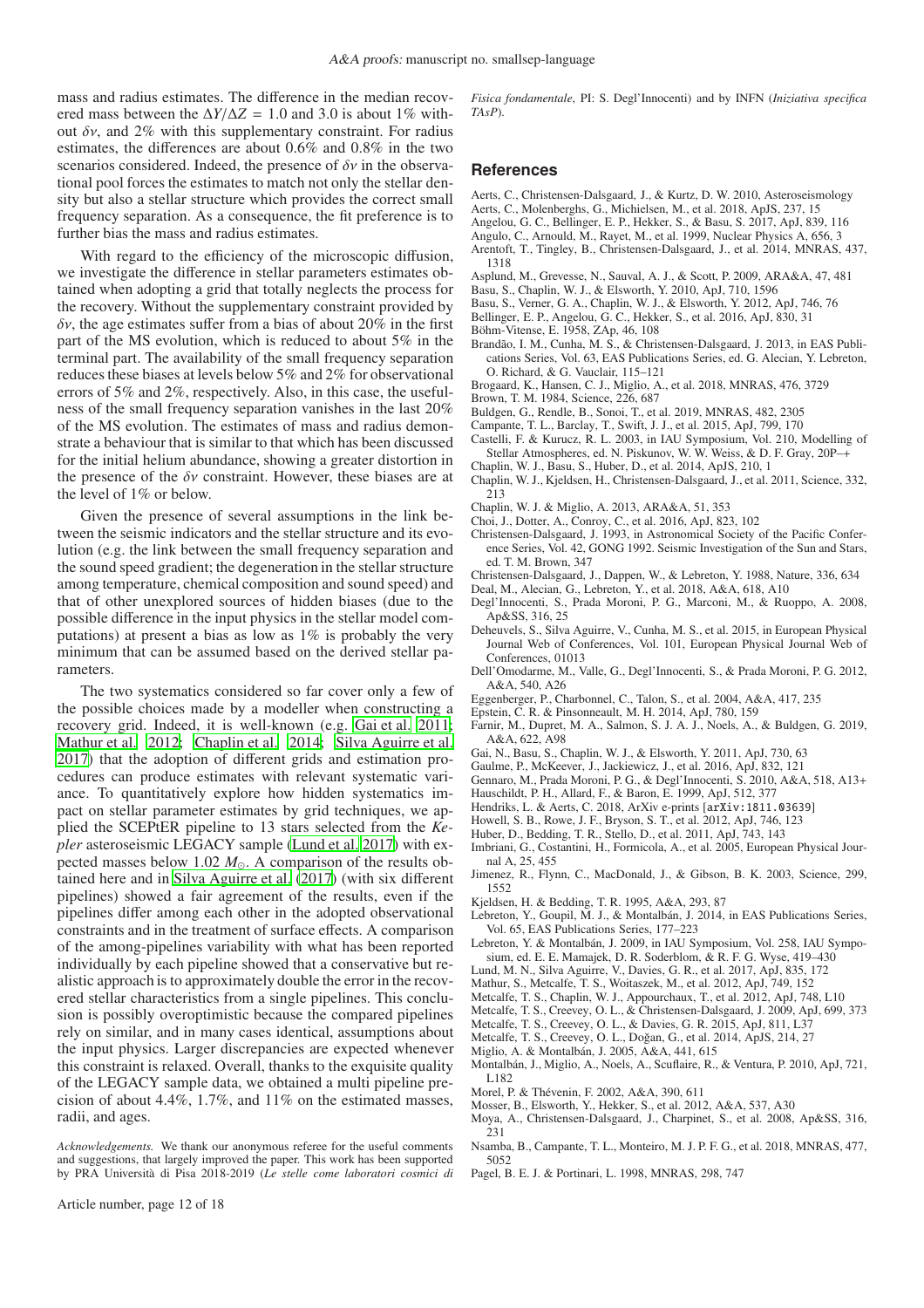mass and radius estimates. The difference in the median recovered mass between the  $\Delta Y/\Delta Z = 1.0$  and 3.0 is about 1% without  $\delta v$ , and 2% with this supplementary constraint. For radius estimates, the differences are about 0.6% and 0.8% in the two scenarios considered. Indeed, the presence of  $\delta y$  in the observational pool forces the estimates to match not only the stellar density but also a stellar structure which provides the correct small frequency separation. As a consequence, the fit preference is to further bias the mass and radius estimates.

With regard to the efficiency of the microscopic diffusion, we investigate the difference in stellar parameters estimates obtained when adopting a grid that totally neglects the process for the recovery. Without the supplementary constraint provided by  $\delta v$ , the age estimates suffer from a bias of about 20% in the first part of the MS evolution, which is reduced to about 5% in the terminal part. The availability of the small frequency separation reduces these biases at levels below 5% and 2% for observational errors of 5% and 2%, respectively. Also, in this case, the usefulness of the small frequency separation vanishes in the last 20% of the MS evolution. The estimates of mass and radius demonstrate a behaviour that is similar to that which has been discussed for the initial helium abundance, showing a greater distortion in the presence of the  $\delta v$  constraint. However, these biases are at the level of 1% or below.

Given the presence of several assumptions in the link between the seismic indicators and the stellar structure and its evolution (e.g. the link between the small frequency separation and the sound speed gradient; the degeneration in the stellar structure among temperature, chemical composition and sound speed) and that of other unexplored sources of hidden biases (due to the possible difference in the input physics in the stellar model computations) at present a bias as low as 1% is probably the very minimum that can be assumed based on the derived stellar parameters.

The two systematics considered so far cover only a few of the possible choices made by a modeller when constructing a recovery grid. Indeed, it is well-known (e.g. [Gai et al. 2011](#page-11-25); [Mathur et al. 2012;](#page-11-5) [Chaplin et al. 2014;](#page-11-3) [Silva Aguirre et al.](#page-12-8) [2017\)](#page-12-8) that the adoption of different grids and estimation procedures can produce estimates with relevant systematic variance. To quantitatively explore how hidden systematics impact on stellar parameter estimates by grid techniques, we applied the SCEPtER pipeline to 13 stars selected from the *Kepler* asteroseismic LEGACY sample [\(Lund et al. 2017\)](#page-11-6) with expected masses below 1.02  $M_{\odot}$ . A comparison of the results obtained here and in [Silva Aguirre et al.](#page-12-8) [\(2017\)](#page-12-8) (with six different pipelines) showed a fair agreement of the results, even if the pipelines differ among each other in the adopted observational constraints and in the treatment of surface effects. A comparison of the among-pipelines variability with what has been reported individually by each pipeline showed that a conservative but realistic approach is to approximately double the error in the recovered stellar characteristics from a single pipelines. This conclusion is possibly overoptimistic because the compared pipelines rely on similar, and in many cases identical, assumptions about the input physics. Larger discrepancies are expected whenever this constraint is relaxed. Overall, thanks to the exquisite quality of the LEGACY sample data, we obtained a multi pipeline precision of about 4.4%, 1.7%, and 11% on the estimated masses, radii, and ages.

*Acknowledgements.* We thank our anonymous referee for the useful comments and suggestions, that largely improved the paper. This work has been supported by PRA Università di Pisa 2018-2019 (*Le stelle come laboratori cosmici di* *Fisica fondamentale*, PI: S. Degl'Innocenti) and by INFN (*Iniziativa specifica TAsP*).

#### **References**

- <span id="page-11-4"></span>Aerts, C., Christensen-Dalsgaard, J., & Kurtz, D. W. 2010, Asteroseismology
- <span id="page-11-15"></span>Aerts, C., Molenberghs, G., Michielsen, M., et al. 2018, ApJS, 237, 15
- <span id="page-11-23"></span>Angelou, G. C., Bellinger, E. P., Hekker, S., & Basu, S. 2017, ApJ, 839, 116
- <span id="page-11-30"></span>Angulo, C., Arnould, M., Rayet, M., et al. 1999, Nuclear Physics A, 656, 3 Arentoft, T., Tingley, B., Christensen-Dalsgaard, J., et al. 2014, MNRAS, 437,
- <span id="page-11-48"></span>1318
- <span id="page-11-28"></span>Asplund, M., Grevesse, N., Sauval, A. J., & Scott, P. 2009, ARA&A, 47, 481
- <span id="page-11-0"></span>Basu, S., Chaplin, W. J., & Elsworth, Y. 2010, ApJ, 710, 1596
- <span id="page-11-26"></span>Basu, S., Verner, G. A., Chaplin, W. J., & Elsworth, Y. 2012, ApJ, 746, 76
- <span id="page-11-14"></span>Bellinger, E. P., Angelou, G. C., Hekker, S., et al. 2016, ApJ, 830, 31
- <span id="page-11-45"></span>Böhm-Vitense, E. 1958, ZAp, 46, 108
- <span id="page-11-21"></span>Brandão, I. M., Cunha, M. S., & Christensen-Dalsgaard, J. 2013, in EAS Publications Series, Vol. 63, EAS Publications Series, ed. G. Alecian, Y. Lebreton, O. Richard, & G. Vauclair, 115–121
- <span id="page-11-43"></span>Brogaard, K., Hansen, C. J., Miglio, A., et al. 2018, MNRAS, 476, 3729 Brown, T. M. 1984, Science, 226, 687
- <span id="page-11-46"></span><span id="page-11-44"></span>Buldgen, G., Rendle, B., Sonoi, T., et al. 2019, MNRAS, 482, 2305
- <span id="page-11-13"></span>Campante, T. L., Barclay, T., Swift, J. J., et al. 2015, ApJ, 799, 170
- <span id="page-11-35"></span>Castelli, F. & Kurucz, R. L. 2003, in IAU Symposium, Vol. 210, Modelling of
- Stellar Atmospheres, ed. N. Piskunov, W. W. Weiss, & D. F. Gray, 20P–+
- <span id="page-11-3"></span>Chaplin, W. J., Basu, S., Huber, D., et al. 2014, ApJS, 210, 1
- <span id="page-11-1"></span>Chaplin, W. J., Kjeldsen, H., Christensen-Dalsgaard, J., et al. 2011, Science, 332, 213
- <span id="page-11-2"></span>Chaplin, W. J. & Miglio, A. 2013, ARA&A, 51, 353
- <span id="page-11-33"></span>Choi, J., Dotter, A., Conroy, C., et al. 2016, ApJ, 823, 102
- <span id="page-11-17"></span>Christensen-Dalsgaard, J. 1993, in Astronomical Society of the Pacific Conference Series, Vol. 42, GONG 1992. Seismic Investigation of the Sun and Stars, ed. T. M. Brown, 347
- <span id="page-11-47"></span>Christensen-Dalsgaard, J., Dappen, W., & Lebreton, Y. 1988, Nature, 336, 634
- <span id="page-11-27"></span>Deal, M., Alecian, G., Lebreton, Y., et al. 2018, A&A, 618, A10
- <span id="page-11-37"></span>Degl'Innocenti, S., Prada Moroni, P. G., Marconi, M., & Ruoppo, A. 2008, Ap&SS, 316, 25
- <span id="page-11-22"></span>Deheuvels, S., Silva Aguirre, V., Cunha, M. S., et al. 2015, in European Physical Journal Web of Conferences, Vol. 101, European Physical Journal Web of Conferences, 01013
- <span id="page-11-38"></span>Dell'Omodarme, M., Valle, G., Degl'Innocenti, S., & Prada Moroni, P. G. 2012, A&A, 540, A26
- <span id="page-11-7"></span>Eggenberger, P., Charbonnel, C., Talon, S., et al. 2004, A&A, 417, 235
- <span id="page-11-41"></span>Epstein, C. R. & Pinsonneault, M. H. 2014, ApJ, 780, 159
- <span id="page-11-20"></span>Farnir, M., Dupret, M. A., Salmon, S. J. A. J., Noels, A., & Buldgen, G. 2019, A&A, 622, A98
- <span id="page-11-25"></span>Gai, N., Basu, S., Chaplin, W. J., & Elsworth, Y. 2011, ApJ, 730, 63
- <span id="page-11-42"></span>Gaulme, P., McKeever, J., Jackiewicz, J., et al. 2016, ApJ, 832, 121
- <span id="page-11-29"></span>Gennaro, M., Prada Moroni, P. G., & Degl'Innocenti, S. 2010, A&A, 518, A13+
- <span id="page-11-34"></span>Hauschildt, P. H., Allard, F., & Baron, E. 1999, ApJ, 512, 377
- <span id="page-11-16"></span>Hendriks, L. & Aerts, C. 2018, ArXiv e-prints [arXiv:1811.03639]
- <span id="page-11-9"></span>Howell, S. B., Rowe, J. F., Bryson, S. T., et al. 2012, ApJ, 746, 123
- <span id="page-11-53"></span>Huber, D., Bedding, T. R., Stello, D., et al. 2011, ApJ, 743, 143
- <span id="page-11-31"></span>Imbriani, G., Costantini, H., Formicola, A., et al. 2005, European Physical Journal A, 25, 455
- <span id="page-11-52"></span>Jimenez, R., Flynn, C., MacDonald, J., & Gibson, B. K. 2003, Science, 299, 1552
- <span id="page-11-39"></span>Kjeldsen, H. & Bedding, T. R. 1995, A&A, 293, 87
- <span id="page-11-19"></span>Lebreton, Y., Goupil, M. J., & Montalbán, J. 2014, in EAS Publications Series, Vol. 65, EAS Publications Series, 177–223
- <span id="page-11-50"></span>Lebreton, Y. & Montalbán, J. 2009, in IAU Symposium, Vol. 258, IAU Symposium, ed. E. E. Mamajek, D. R. Soderblom, & R. F. G. Wyse, 419–430
- <span id="page-11-6"></span>Lund, M. N., Silva Aguirre, V., Davies, G. R., et al. 2017, ApJ, 835, 172
- <span id="page-11-5"></span>Mathur, S., Metcalfe, T. S., Woitaszek, M., et al. 2012, ApJ, 749, 152
- <span id="page-11-10"></span>Metcalfe, T. S., Chaplin, W. J., Appourchaux, T., et al. 2012, ApJ, 748, L10
- <span id="page-11-8"></span>Metcalfe, T. S., Creevey, O. L., & Christensen-Dalsgaard, J. 2009, ApJ, 699, 373
- <span id="page-11-12"></span>Metcalfe, T. S., Creevey, O. L., & Davies, G. R. 2015, ApJ, 811, L37
- <span id="page-11-11"></span>Metcalfe, T. S., Creevey, O. L., Dogan, G., et al. 2014, ApJS, 214, 27 ˘
- <span id="page-11-18"></span>Miglio, A. & Montalbán, J. 2005, A&A, 441, 615
- <span id="page-11-49"></span>Montalbán, J., Miglio, A., Noels, A., Scuflaire, R., & Ventura, P. 2010, ApJ, 721, L182
- <span id="page-11-32"></span>Morel, P. & Thévenin, F. 2002, A&A, 390, 611
- <span id="page-11-40"></span>Mosser, B., Elsworth, Y., Hekker, S., et al. 2012, A&A, 537, A30
- <span id="page-11-36"></span>Moya, A., Christensen-Dalsgaard, J., Charpinet, S., et al. 2008, Ap&SS, 316, 231
- <span id="page-11-24"></span>Nsamba, B., Campante, T. L., Monteiro, M. J. P. F. G., et al. 2018, MNRAS, 477, 5052
- <span id="page-11-51"></span>Pagel, B. E. J. & Portinari, L. 1998, MNRAS, 298, 747

Article number, page 12 of 18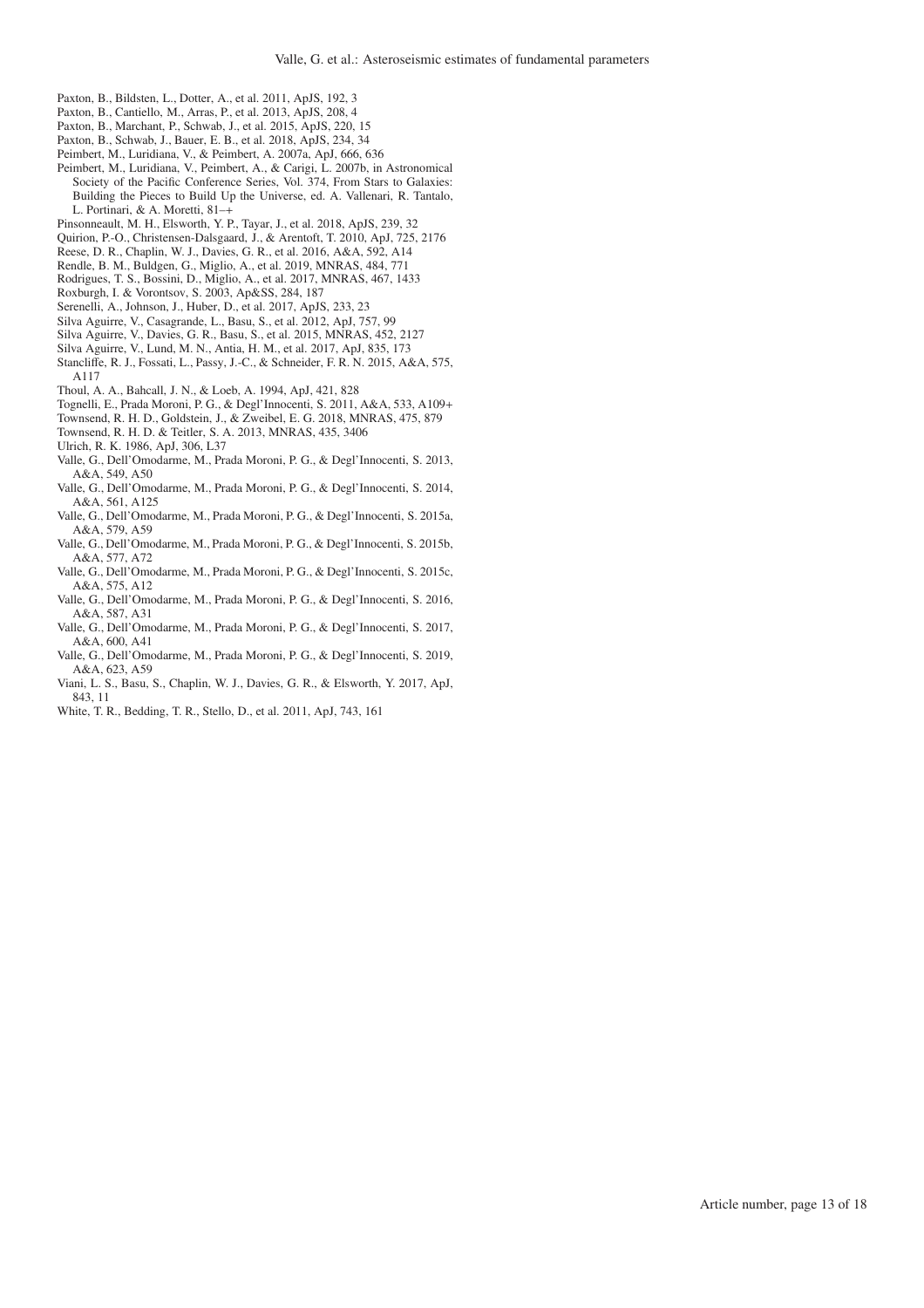- <span id="page-12-15"></span>Paxton, B., Bildsten, L., Dotter, A., et al. 2011, ApJS, 192, 3
- <span id="page-12-16"></span>Paxton, B., Cantiello, M., Arras, P., et al. 2013, ApJS, 208, 4
- <span id="page-12-17"></span>Paxton, B., Marchant, P., Schwab, J., et al. 2015, ApJS, 220, 15
- <span id="page-12-18"></span>Paxton, B., Schwab, J., Bauer, E. B., et al. 2018, ApJS, 234, 34
- <span id="page-12-12"></span>Peimbert, M., Luridiana, V., & Peimbert, A. 2007a, ApJ, 666, 636
- <span id="page-12-13"></span>Peimbert, M., Luridiana, V., Peimbert, A., & Carigi, L. 2007b, in Astronomical Society of the Pacific Conference Series, Vol. 374, From Stars to Galaxies: Building the Pieces to Build Up the Universe, ed. A. Vallenari, R. Tantalo, L. Portinari, & A. Moretti, 81–+
- <span id="page-12-6"></span>Pinsonneault, M. H., Elsworth, Y. P., Tayar, J., et al. 2018, ApJS, 239, 32
- <span id="page-12-0"></span>Quirion, P.-O., Christensen-Dalsgaard, J., & Arentoft, T. 2010, ApJ, 725, 2176
- <span id="page-12-31"></span>Reese, D. R., Chaplin, W. J., Davies, G. R., et al. 2016, A&A, 592, A14
- <span id="page-12-10"></span>Rendle, B. M., Buldgen, G., Miglio, A., et al. 2019, MNRAS, 484, 771
- <span id="page-12-5"></span>Rodrigues, T. S., Bossini, D., Miglio, A., et al. 2017, MNRAS, 467, 1433
- <span id="page-12-9"></span>Roxburgh, I. & Vorontsov, S. 2003, Ap&SS, 284, 187
- <span id="page-12-4"></span>Serenelli, A., Johnson, J., Huber, D., et al. 2017, ApJS, 233, 23
- <span id="page-12-1"></span>Silva Aguirre, V., Casagrande, L., Basu, S., et al. 2012, ApJ, 757, 99
- <span id="page-12-7"></span>Silva Aguirre, V., Davies, G. R., Basu, S., et al. 2015, MNRAS, 452, 2127
- <span id="page-12-8"></span>Silva Aguirre, V., Lund, M. N., Antia, H. M., et al. 2017, ApJ, 835, 173
- <span id="page-12-29"></span>Stancliffe, R. J., Fossati, L., Passy, J.-C., & Schneider, F. R. N. 2015, A&A, 575, A117
- <span id="page-12-14"></span>Thoul, A. A., Bahcall, J. N., & Loeb, A. 1994, ApJ, 421, 828
- <span id="page-12-19"></span>Tognelli, E., Prada Moroni, P. G., & Degl'Innocenti, S. 2011, A&A, 533, A109+
- <span id="page-12-23"></span>Townsend, R. H. D., Goldstein, J., & Zweibel, E. G. 2018, MNRAS, 475, 879
- <span id="page-12-22"></span>Townsend, R. H. D. & Teitler, S. A. 2013, MNRAS, 435, 3406
- <span id="page-12-30"></span>Ulrich, R. K. 1986, ApJ, 306, L37
- <span id="page-12-28"></span>Valle, G., Dell'Omodarme, M., Prada Moroni, P. G., & Degl'Innocenti, S. 2013, A&A, 549, A50
- <span id="page-12-11"></span>Valle, G., Dell'Omodarme, M., Prada Moroni, P. G., & Degl'Innocenti, S. 2014, A&A, 561, A125
- <span id="page-12-25"></span>Valle, G., Dell'Omodarme, M., Prada Moroni, P. G., & Degl'Innocenti, S. 2015a, A&A, 579, A59
- <span id="page-12-3"></span>Valle, G., Dell'Omodarme, M., Prada Moroni, P. G., & Degl'Innocenti, S. 2015b, A&A, 577, A72
- <span id="page-12-2"></span>Valle, G., Dell'Omodarme, M., Prada Moroni, P. G., & Degl'Innocenti, S. 2015c, A&A, 575, A12
- <span id="page-12-20"></span>Valle, G., Dell'Omodarme, M., Prada Moroni, P. G., & Degl'Innocenti, S. 2016, A&A, 587, A31
- <span id="page-12-21"></span>Valle, G., Dell'Omodarme, M., Prada Moroni, P. G., & Degl'Innocenti, S. 2017, A&A, 600, A41
- <span id="page-12-26"></span>Valle, G., Dell'Omodarme, M., Prada Moroni, P. G., & Degl'Innocenti, S. 2019, A&A, 623, A59
- <span id="page-12-24"></span>Viani, L. S., Basu, S., Chaplin, W. J., Davies, G. R., & Elsworth, Y. 2017, ApJ, 843, 11
- <span id="page-12-27"></span>White, T. R., Bedding, T. R., Stello, D., et al. 2011, ApJ, 743, 161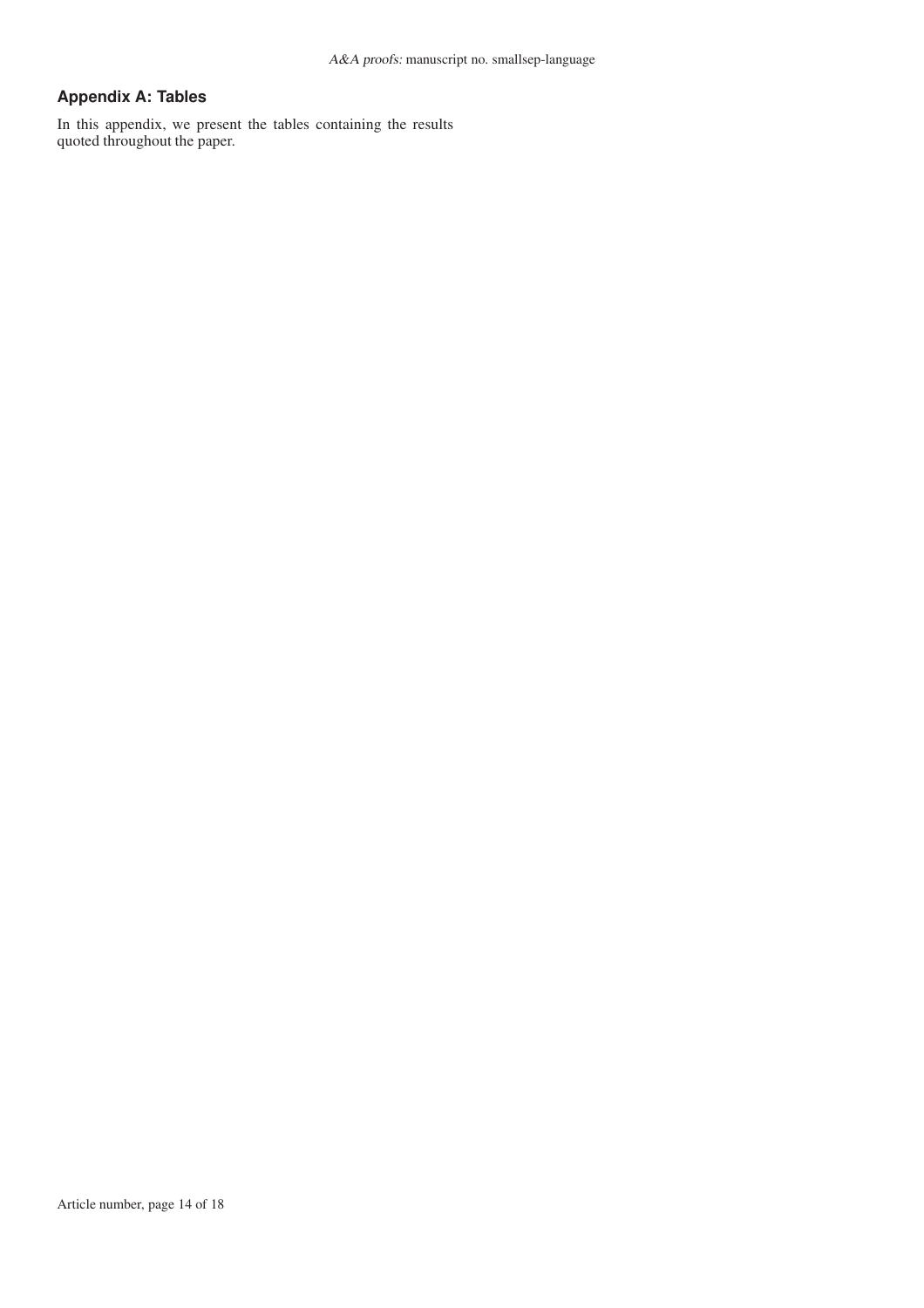## **Appendix A: Tables**

In this appendix, we present the tables containing the results quoted throughout the paper.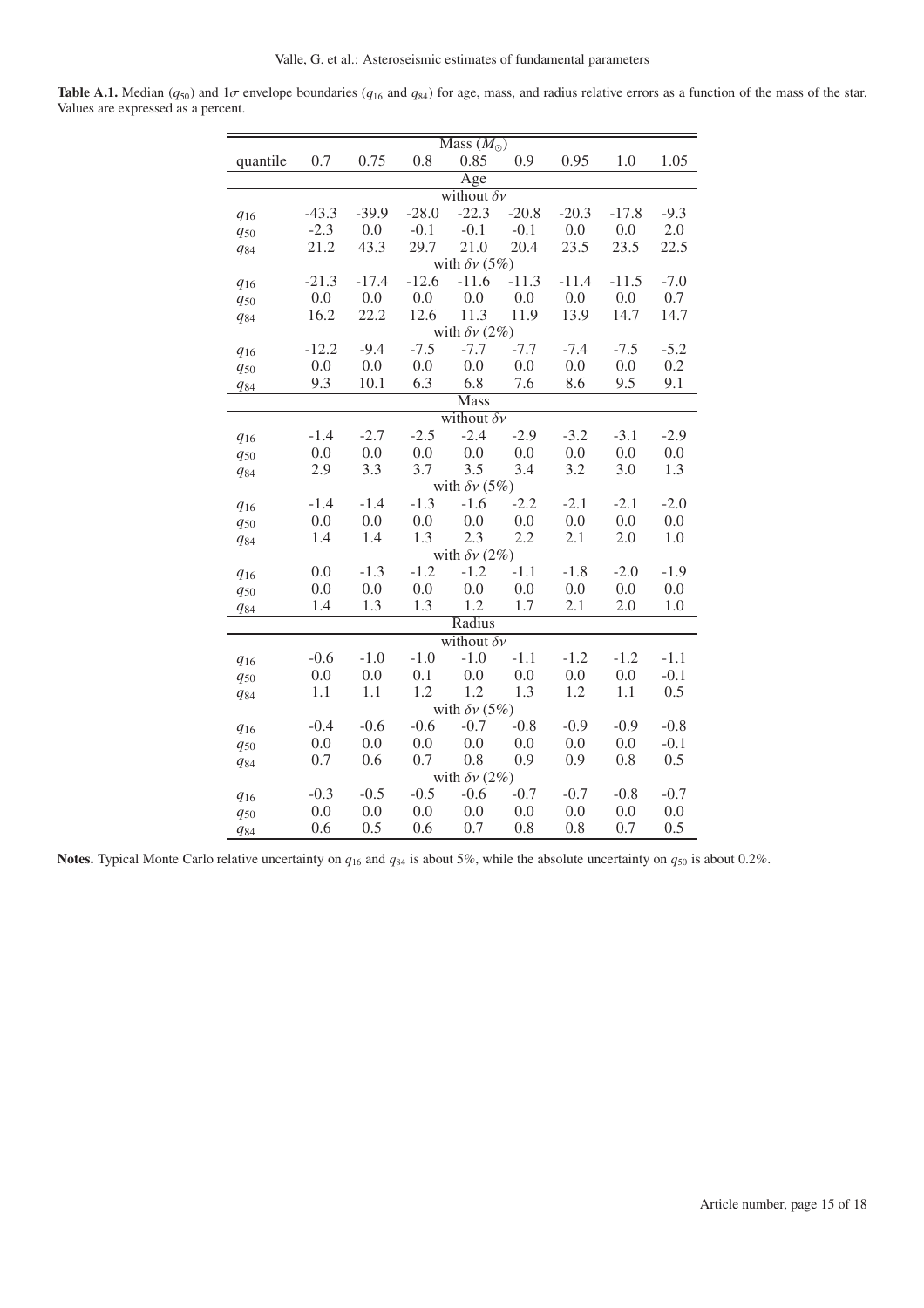<span id="page-14-0"></span>**Table A.1.** Median ( $q_{50}$ ) and 1 $\sigma$  envelope boundaries ( $q_{16}$  and  $q_{84}$ ) for age, mass, and radius relative errors as a function of the mass of the star. Values are expressed as a percent.

|             |                      |         |         | Mass $(M_{\odot})$   |         |         |         |        |  |  |  |  |
|-------------|----------------------|---------|---------|----------------------|---------|---------|---------|--------|--|--|--|--|
| quantile    | 0.7                  | 0.75    | 0.8     | 0.85                 | 0.9     | 0.95    | 1.0     | 1.05   |  |  |  |  |
|             |                      |         |         | Age                  |         |         |         |        |  |  |  |  |
|             |                      |         |         | without $\delta v$   |         |         |         |        |  |  |  |  |
| $q_{16}$    | $-43.3$              | $-39.9$ | $-28.0$ | $-22.3$              | $-20.8$ | $-20.3$ | $-17.8$ | $-9.3$ |  |  |  |  |
| 950         | $-2.3$               | 0.0     | $-0.1$  | $-0.1$               | $-0.1$  | 0.0     | 0.0     | 2.0    |  |  |  |  |
| $q_{84}$    | 21.2                 | 43.3    | 29.7    | 21.0                 | 20.4    | 23.5    | 23.5    | 22.5   |  |  |  |  |
|             | with $\delta v$ (5%) |         |         |                      |         |         |         |        |  |  |  |  |
| $q_{16}$    | $-21.3$              | $-17.4$ | $-12.6$ | $-11.6$              | $-11.3$ | $-11.4$ | $-11.5$ | $-7.0$ |  |  |  |  |
| 950         | 0.0                  | 0.0     | 0.0     | 0.0                  | $0.0\,$ | 0.0     | 0.0     | 0.7    |  |  |  |  |
| 984         | 16.2                 | 22.2    | 12.6    | 11.3                 | 11.9    | 13.9    | 14.7    | 14.7   |  |  |  |  |
|             | with $\delta v$ (2%) |         |         |                      |         |         |         |        |  |  |  |  |
| $q_{16}$    | $-12.2$              | $-9.4$  | $-7.5$  | $-7.7$               | $-7.7$  | $-7.4$  | $-7.5$  | $-5.2$ |  |  |  |  |
| 950         | 0.0                  | 0.0     | 0.0     | 0.0                  | 0.0     | 0.0     | 0.0     | 0.2    |  |  |  |  |
| $q_{84}$    | 9.3                  | 10.1    | 6.3     | 6.8                  | 7.6     | 8.6     | 9.5     | 9.1    |  |  |  |  |
| <b>Mass</b> |                      |         |         |                      |         |         |         |        |  |  |  |  |
|             | without $\delta v$   |         |         |                      |         |         |         |        |  |  |  |  |
| $q_{16}$    | $-1.4$               | $-2.7$  | $-2.5$  | $-2.4$               | $-2.9$  | $-3.2$  | $-3.1$  | $-2.9$ |  |  |  |  |
| 950         | 0.0                  | 0.0     | $0.0\,$ | 0.0                  | 0.0     | 0.0     | 0.0     | 0.0    |  |  |  |  |
| $q_{84}$    | 2.9                  | 3.3     | 3.7     | 3.5                  | 3.4     | 3.2     | 3.0     | 1.3    |  |  |  |  |
|             |                      |         |         | with $\delta v$ (5%) |         |         |         |        |  |  |  |  |
| $q_{16}$    | $-1.4$               | $-1.4$  | $-1.3$  | $-1.6$               | $-2.2$  | $-2.1$  | $-2.1$  | $-2.0$ |  |  |  |  |
| 950         | 0.0                  | 0.0     | 0.0     | 0.0                  | 0.0     | 0.0     | 0.0     | 0.0    |  |  |  |  |
| 984         | 1.4                  | 1.4     | 1.3     | 2.3                  | 2.2     | 2.1     | 2.0     | 1.0    |  |  |  |  |
|             |                      |         |         | with $\delta v(2\%)$ |         |         |         |        |  |  |  |  |
| $q_{16}$    | 0.0                  | $-1.3$  | $-1.2$  | $-1.2$               | $-1.1$  | $-1.8$  | $-2.0$  | $-1.9$ |  |  |  |  |
| 950         | 0.0                  | 0.0     | 0.0     | 0.0                  | 0.0     | 0.0     | 0.0     | 0.0    |  |  |  |  |
| $q_{84}$    | 1.4                  | 1.3     | 1.3     | 1.2                  | 1.7     | 2.1     | 2.0     | 1.0    |  |  |  |  |
|             |                      |         |         | Radius               |         |         |         |        |  |  |  |  |
|             |                      |         |         | without $\delta v$   |         |         |         |        |  |  |  |  |
| $q_{16}$    | $-0.6$               | $-1.0$  | $-1.0$  | $-1.0$               | $-1.1$  | $-1.2$  | $-1.2$  | $-1.1$ |  |  |  |  |
| 950         | 0.0                  | 0.0     | 0.1     | 0.0                  | 0.0     | 0.0     | 0.0     | $-0.1$ |  |  |  |  |
| 984         | 1.1                  | 1.1     | 1.2     | 1.2                  | 1.3     | 1.2     | 1.1     | 0.5    |  |  |  |  |
|             |                      |         |         | with $\delta v$ (5%) |         |         |         |        |  |  |  |  |
| $q_{16}$    | $-0.4$               | $-0.6$  | $-0.6$  | $-0.7$               | $-0.8$  | $-0.9$  | $-0.9$  | $-0.8$ |  |  |  |  |
| 950         | 0.0                  | 0.0     | 0.0     | 0.0                  | 0.0     | 0.0     | 0.0     | $-0.1$ |  |  |  |  |
| 984         | 0.7                  | 0.6     | 0.7     | 0.8                  | 0.9     | 0.9     | 0.8     | 0.5    |  |  |  |  |
|             |                      |         |         | with $\delta v(2\%)$ |         |         |         |        |  |  |  |  |
| $q_{16}$    | $-0.3$               | $-0.5$  | $-0.5$  | $-0.6$               | $-0.7$  | $-0.7$  | $-0.8$  | $-0.7$ |  |  |  |  |
| 950         | 0.0                  | 0.0     | 0.0     | 0.0                  | 0.0     | 0.0     | 0.0     | 0.0    |  |  |  |  |
| 984         | 0.6                  | 0.5     | 0.6     | 0.7                  | 0.8     | 0.8     | 0.7     | 0.5    |  |  |  |  |

Notes. Typical Monte Carlo relative uncertainty on *q*<sup>16</sup> and *q*<sup>84</sup> is about 5%, while the absolute uncertainty on *q*<sup>50</sup> is about 0.2%.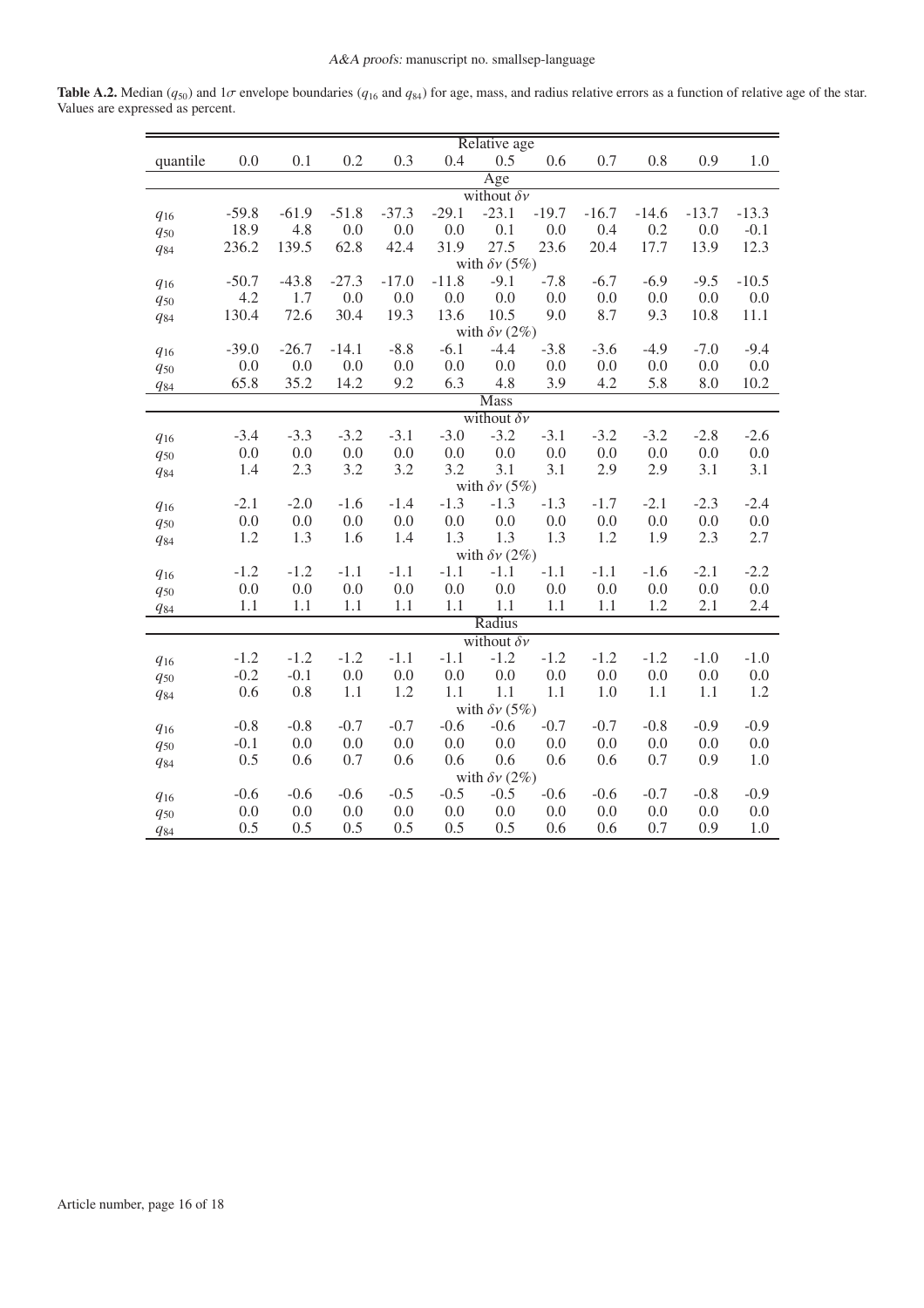Table A.2. Median ( $q_{50}$ ) and  $1\sigma$  envelope boundaries ( $q_{16}$  and  $q_{84}$ ) for age, mass, and radius relative errors as a function of relative age of the star. Values are expressed as percent.

<span id="page-15-0"></span>

|              | Relative age         |         |         |         |         |                      |         |         |         |         |         |
|--------------|----------------------|---------|---------|---------|---------|----------------------|---------|---------|---------|---------|---------|
| quantile     | 0.0                  | 0.1     | 0.2     | 0.3     | 0.4     | 0.5                  | 0.6     | 0.7     | 0.8     | 0.9     | 1.0     |
|              |                      |         |         |         |         | Age                  |         |         |         |         |         |
|              |                      |         |         |         |         | without $\delta v$   |         |         |         |         |         |
| $q_{16}$     | $-59.8$              | $-61.9$ | $-51.8$ | $-37.3$ | $-29.1$ | $-23.1$              | $-19.7$ | $-16.7$ | $-14.6$ | $-13.7$ | $-13.3$ |
| 950          | 18.9                 | 4.8     | 0.0     | 0.0     | 0.0     | 0.1                  | 0.0     | 0.4     | 0.2     | 0.0     | $-0.1$  |
| 984          | 236.2                | 139.5   | 62.8    | 42.4    | 31.9    | 27.5                 | 23.6    | 20.4    | 17.7    | 13.9    | 12.3    |
|              | with $\delta v$ (5%) |         |         |         |         |                      |         |         |         |         |         |
| $q_{16}$     | $-50.7$              | $-43.8$ | $-27.3$ | $-17.0$ | $-11.8$ | $-9.1$               | $-7.8$  | $-6.7$  | $-6.9$  | $-9.5$  | $-10.5$ |
| 950          | 4.2                  | 1.7     | 0.0     | 0.0     | 0.0     | 0.0                  | 0.0     | 0.0     | 0.0     | 0.0     | 0.0     |
| 984          | 130.4                | 72.6    | 30.4    | 19.3    | 13.6    | 10.5                 | 9.0     | 8.7     | 9.3     | 10.8    | 11.1    |
|              | with $\delta v$ (2%) |         |         |         |         |                      |         |         |         |         |         |
| $q_{16}$     | $-39.0$              | $-26.7$ | $-14.1$ | $-8.8$  | $-6.1$  | $-4.4$               | $-3.8$  | $-3.6$  | $-4.9$  | $-7.0$  | $-9.4$  |
| 950          | 0.0                  | 0.0     | 0.0     | 0.0     | 0.0     | 0.0                  | 0.0     | 0.0     | 0.0     | 0.0     | 0.0     |
| 984          | 65.8                 | 35.2    | 14.2    | 9.2     | 6.3     | 4.8                  | 3.9     | 4.2     | 5.8     | 8.0     | 10.2    |
|              | <b>Mass</b>          |         |         |         |         |                      |         |         |         |         |         |
|              | without $\delta v$   |         |         |         |         |                      |         |         |         |         |         |
| $q_{16}$     | $-3.4$               | $-3.3$  | $-3.2$  | $-3.1$  | $-3.0$  | $-3.2$               | $-3.1$  | $-3.2$  | $-3.2$  | $-2.8$  | $-2.6$  |
| $q_{50}$     | 0.0                  | 0.0     | 0.0     | 0.0     | 0.0     | 0.0                  | 0.0     | 0.0     | 0.0     | 0.0     | 0.0     |
| 984          | 1.4                  | 2.3     | 3.2     | 3.2     | 3.2     | 3.1                  | 3.1     | 2.9     | 2.9     | 3.1     | 3.1     |
|              |                      |         |         |         |         | with $\delta v$ (5%) |         |         |         |         |         |
| $q_{16}$     | $-2.1$               | $-2.0$  | $-1.6$  | $-1.4$  | $-1.3$  | $-1.3$               | $-1.3$  | $-1.7$  | $-2.1$  | $-2.3$  | $-2.4$  |
| $q_{50}$     | 0.0                  | 0.0     | 0.0     | 0.0     | 0.0     | 0.0                  | 0.0     | 0.0     | 0.0     | 0.0     | 0.0     |
| 984          | 1.2                  | 1.3     | 1.6     | 1.4     | 1.3     | 1.3                  | 1.3     | 1.2     | 1.9     | 2.3     | 2.7     |
|              |                      |         |         |         |         | with $\delta v$ (2%) |         |         |         |         |         |
| $q_{16}$     | $-1.2$               | $-1.2$  | $-1.1$  | $-1.1$  | $-1.1$  | $-1.1$               | $-1.1$  | $-1.1$  | $-1.6$  | $-2.1$  | $-2.2$  |
| 950          | 0.0                  | 0.0     | 0.0     | 0.0     | 0.0     | 0.0                  | 0.0     | 0.0     | 0.0     | 0.0     | 0.0     |
| 984          | 1.1                  | 1.1     | 1.1     | 1.1     | 1.1     | 1.1                  | 1.1     | 1.1     | 1.2     | 2.1     | 2.4     |
|              |                      |         |         |         |         | Radius               |         |         |         |         |         |
|              |                      |         |         |         |         | without $\delta v$   |         |         |         |         |         |
| $q_{16}$     | $-1.2$               | $-1.2$  | $-1.2$  | $-1.1$  | $-1.1$  | $-1.2$               | $-1.2$  | $-1.2$  | $-1.2$  | $-1.0$  | $-1.0$  |
| $q_{50}$     | $-0.2$               | $-0.1$  | 0.0     | 0.0     | 0.0     | 0.0                  | 0.0     | 0.0     | 0.0     | 0.0     | 0.0     |
| 984          | 0.6                  | 0.8     | 1.1     | 1.2     | 1.1     | 1.1                  | 1.1     | 1.0     | 1.1     | 1.1     | 1.2     |
|              |                      |         |         |         |         | with $\delta v$ (5%) |         |         |         |         |         |
| $q_{16}$     | $-0.8$               | $-0.8$  | $-0.7$  | $-0.7$  | $-0.6$  | $-0.6$               | $-0.7$  | $-0.7$  | $-0.8$  | $-0.9$  | $-0.9$  |
| $q_{\rm 50}$ | $-0.1$               | 0.0     | 0.0     | 0.0     | 0.0     | 0.0                  | 0.0     | 0.0     | 0.0     | 0.0     | 0.0     |
| 984          | 0.5                  | 0.6     | 0.7     | 0.6     | 0.6     | 0.6                  | 0.6     | 0.6     | 0.7     | 0.9     | 1.0     |
|              |                      |         |         |         |         | with $\delta v$ (2%) |         |         |         |         |         |
| $q_{16}$     | $-0.6$               | $-0.6$  | $-0.6$  | $-0.5$  | $-0.5$  | $-0.5$               | $-0.6$  | $-0.6$  | $-0.7$  | $-0.8$  | $-0.9$  |
| 950          | 0.0                  | 0.0     | 0.0     | 0.0     | 0.0     | 0.0                  | 0.0     | 0.0     | 0.0     | 0.0     | 0.0     |
| 984          | 0.5                  | 0.5     | 0.5     | 0.5     | 0.5     | 0.5                  | 0.6     | 0.6     | 0.7     | 0.9     | 1.0     |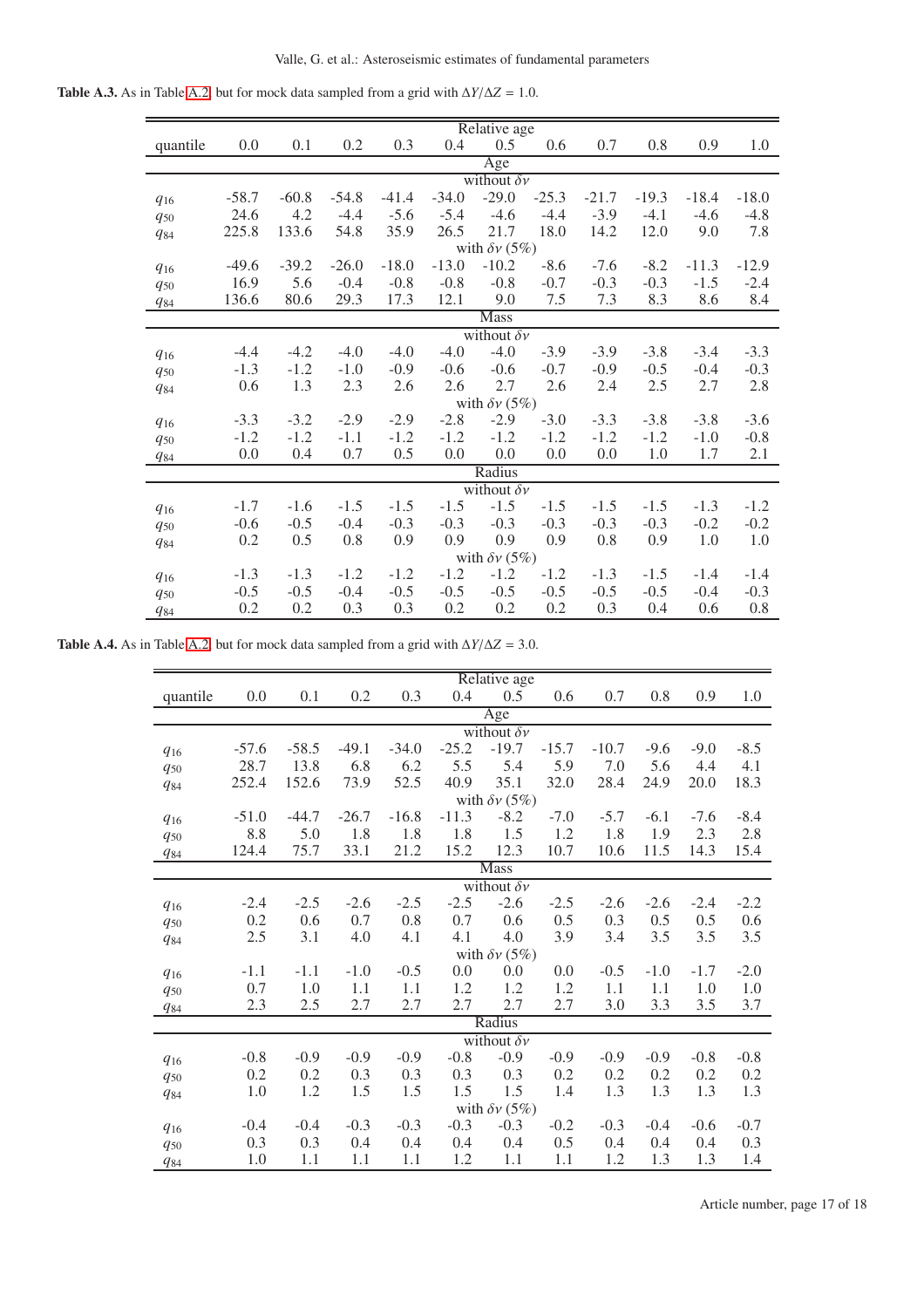Table A.3. As in Table [A.2,](#page-15-0) but for mock data sampled from a grid with  $\Delta Y/\Delta Z = 1.0$ .

<span id="page-16-0"></span>

|             | Relative age       |         |         |         |         |                      |         |         |         |         |         |
|-------------|--------------------|---------|---------|---------|---------|----------------------|---------|---------|---------|---------|---------|
| quantile    | 0.0                | 0.1     | 0.2     | 0.3     | 0.4     | 0.5                  | 0.6     | 0.7     | 0.8     | 0.9     | 1.0     |
|             |                    |         |         |         |         | Age                  |         |         |         |         |         |
|             | without $\delta v$ |         |         |         |         |                      |         |         |         |         |         |
| $q_{16}$    | $-58.7$            | $-60.8$ | $-54.8$ | $-41.4$ | $-34.0$ | $-29.0$              | $-25.3$ | $-21.7$ | $-19.3$ | $-18.4$ | $-18.0$ |
| $q_{50}$    | 24.6               | 4.2     | $-4.4$  | $-5.6$  | $-5.4$  | $-4.6$               | $-4.4$  | $-3.9$  | $-4.1$  | $-4.6$  | $-4.8$  |
| <b>q</b> 84 | 225.8              | 133.6   | 54.8    | 35.9    | 26.5    | 21.7                 | 18.0    | 14.2    | 12.0    | 9.0     | 7.8     |
|             |                    |         |         |         |         | with $\delta v$ (5%) |         |         |         |         |         |
| $q_{16}$    | $-49.6$            | $-39.2$ | $-26.0$ | $-18.0$ | $-13.0$ | $-10.2$              | $-8.6$  | $-7.6$  | $-8.2$  | $-11.3$ | $-12.9$ |
| $q_{50}$    | 16.9               | 5.6     | $-0.4$  | $-0.8$  | $-0.8$  | $-0.8$               | $-0.7$  | $-0.3$  | $-0.3$  | $-1.5$  | $-2.4$  |
| 984         | 136.6              | 80.6    | 29.3    | 17.3    | 12.1    | 9.0                  | 7.5     | 7.3     | 8.3     | 8.6     | 8.4     |
|             | <b>Mass</b>        |         |         |         |         |                      |         |         |         |         |         |
|             | without $\delta v$ |         |         |         |         |                      |         |         |         |         |         |
| $q_{16}$    | $-4.4$             | $-4.2$  | $-4.0$  | $-4.0$  | $-4.0$  | $-4.0$               | $-3.9$  | $-3.9$  | $-3.8$  | $-3.4$  | $-3.3$  |
| $q_{50}$    | $-1.3$             | $-1.2$  | $-1.0$  | $-0.9$  | $-0.6$  | $-0.6$               | $-0.7$  | $-0.9$  | $-0.5$  | $-0.4$  | $-0.3$  |
| $q_{84}$    | 0.6                | 1.3     | 2.3     | 2.6     | 2.6     | 2.7                  | 2.6     | 2.4     | 2.5     | 2.7     | 2.8     |
|             |                    |         |         |         |         | with $\delta v$ (5%) |         |         |         |         |         |
| $q_{16}$    | $-3.3$             | $-3.2$  | $-2.9$  | $-2.9$  | $-2.8$  | $-2.9$               | $-3.0$  | $-3.3$  | $-3.8$  | $-3.8$  | $-3.6$  |
| $q_{50}$    | $-1.2$             | $-1.2$  | $-1.1$  | $-1.2$  | $-1.2$  | $-1.2$               | $-1.2$  | $-1.2$  | $-1.2$  | $-1.0$  | $-0.8$  |
| 984         | 0.0                | 0.4     | 0.7     | 0.5     | 0.0     | 0.0                  | 0.0     | 0.0     | 1.0     | 1.7     | 2.1     |
|             |                    |         |         |         |         | Radius               |         |         |         |         |         |
|             |                    |         |         |         |         | without $\delta v$   |         |         |         |         |         |
| $q_{16}$    | $-1.7$             | $-1.6$  | $-1.5$  | $-1.5$  | $-1.5$  | $-1.5$               | $-1.5$  | $-1.5$  | $-1.5$  | $-1.3$  | $-1.2$  |
| $q_{50}$    | $-0.6$             | $-0.5$  | $-0.4$  | $-0.3$  | $-0.3$  | $-0.3$               | $-0.3$  | $-0.3$  | $-0.3$  | $-0.2$  | $-0.2$  |
| <b>q</b> 84 | 0.2                | 0.5     | 0.8     | 0.9     | 0.9     | 0.9                  | 0.9     | 0.8     | 0.9     | 1.0     | 1.0     |
|             |                    |         |         |         |         | with $\delta v$ (5%) |         |         |         |         |         |
| $q_{16}$    | $-1.3$             | $-1.3$  | $-1.2$  | $-1.2$  | $-1.2$  | $-1.2$               | $-1.2$  | $-1.3$  | $-1.5$  | $-1.4$  | $-1.4$  |
| $q_{50}$    | $-0.5$             | $-0.5$  | $-0.4$  | $-0.5$  | $-0.5$  | $-0.5$               | $-0.5$  | $-0.5$  | $-0.5$  | $-0.4$  | $-0.3$  |
| <b>q</b> 84 | 0.2                | 0.2     | 0.3     | 0.3     | 0.2     | 0.2                  | 0.2     | 0.3     | 0.4     | 0.6     | 0.8     |

Table A.4. As in Table [A.2,](#page-15-0) but for mock data sampled from a grid with  $\Delta Y/\Delta Z = 3.0$ .

<span id="page-16-1"></span>

|             | Relative age       |         |         |         |         |                      |         |         |        |        |        |
|-------------|--------------------|---------|---------|---------|---------|----------------------|---------|---------|--------|--------|--------|
| quantile    | 0.0                | 0.1     | 0.2     | 0.3     | 0.4     | 0.5                  | 0.6     | 0.7     | 0.8    | 0.9    | 1.0    |
|             |                    |         |         |         |         | Age                  |         |         |        |        |        |
|             | without $\delta v$ |         |         |         |         |                      |         |         |        |        |        |
| $q_{16}$    | $-57.6$            | $-58.5$ | $-49.1$ | $-34.0$ | $-25.2$ | $-19.7$              | $-15.7$ | $-10.7$ | $-9.6$ | $-9.0$ | $-8.5$ |
| $q_{50}$    | 28.7               | 13.8    | 6.8     | 6.2     | 5.5     | 5.4                  | 5.9     | 7.0     | 5.6    | 4.4    | 4.1    |
| 984         | 252.4              | 152.6   | 73.9    | 52.5    | 40.9    | 35.1                 | 32.0    | 28.4    | 24.9   | 20.0   | 18.3   |
|             |                    |         |         |         |         | with $\delta v$ (5%) |         |         |        |        |        |
| $q_{16}$    | $-51.0$            | $-44.7$ | $-26.7$ | $-16.8$ | $-11.3$ | $-8.2$               | $-7.0$  | $-5.7$  | $-6.1$ | $-7.6$ | $-8.4$ |
| $q_{50}$    | 8.8                | 5.0     | 1.8     | 1.8     | 1.8     | 1.5                  | 1.2     | 1.8     | 1.9    | 2.3    | 2.8    |
| <b>q</b> 84 | 124.4              | 75.7    | 33.1    | 21.2    | 15.2    | 12.3                 | 10.7    | 10.6    | 11.5   | 14.3   | 15.4   |
|             | <b>Mass</b>        |         |         |         |         |                      |         |         |        |        |        |
|             | without $\delta v$ |         |         |         |         |                      |         |         |        |        |        |
| $q_{16}$    | $-2.4$             | $-2.5$  | $-2.6$  | $-2.5$  | $-2.5$  | $-2.6$               | $-2.5$  | $-2.6$  | $-2.6$ | $-2.4$ | $-2.2$ |
| $q_{50}$    | 0.2                | 0.6     | 0.7     | 0.8     | 0.7     | 0.6                  | 0.5     | 0.3     | 0.5    | 0.5    | 0.6    |
| $q_{84}$    | 2.5                | 3.1     | 4.0     | 4.1     | 4.1     | 4.0                  | 3.9     | 3.4     | 3.5    | 3.5    | 3.5    |
|             |                    |         |         |         |         | with $\delta v$ (5%) |         |         |        |        |        |
| $q_{16}$    | $-1.1$             | $-1.1$  | $-1.0$  | $-0.5$  | 0.0     | 0.0                  | 0.0     | $-0.5$  | $-1.0$ | $-1.7$ | $-2.0$ |
| $q_{50}$    | 0.7                | 1.0     | 1.1     | 1.1     | 1.2     | 1.2                  | 1.2     | 1.1     | 1.1    | 1.0    | 1.0    |
| $q_{84}$    | 2.3                | 2.5     | 2.7     | 2.7     | 2.7     | 2.7                  | 2.7     | 3.0     | 3.3    | 3.5    | 3.7    |
|             |                    |         |         |         |         | Radius               |         |         |        |        |        |
|             |                    |         |         |         |         | without $\delta v$   |         |         |        |        |        |
| $q_{16}$    | $-0.8$             | $-0.9$  | $-0.9$  | $-0.9$  | $-0.8$  | $-0.9$               | $-0.9$  | $-0.9$  | $-0.9$ | $-0.8$ | $-0.8$ |
| $q_{50}$    | 0.2                | 0.2     | 0.3     | 0.3     | 0.3     | 0.3                  | 0.2     | 0.2     | 0.2    | 0.2    | 0.2    |
| <b>q</b> 84 | 1.0                | 1.2     | 1.5     | 1.5     | 1.5     | 1.5                  | 1.4     | 1.3     | 1.3    | 1.3    | 1.3    |
|             |                    |         |         |         |         | with $\delta v$ (5%) |         |         |        |        |        |
| $q_{16}$    | $-0.4$             | $-0.4$  | $-0.3$  | $-0.3$  | $-0.3$  | $-0.3$               | $-0.2$  | $-0.3$  | $-0.4$ | $-0.6$ | $-0.7$ |
| $q_{50}$    | 0.3                | 0.3     | 0.4     | 0.4     | 0.4     | 0.4                  | 0.5     | 0.4     | 0.4    | 0.4    | 0.3    |
| <b>q</b> 84 | 1.0                | 1.1     | 1.1     | 1.1     | 1.2     | 1.1                  | 1.1     | 1.2     | 1.3    | 1.3    | 1.4    |